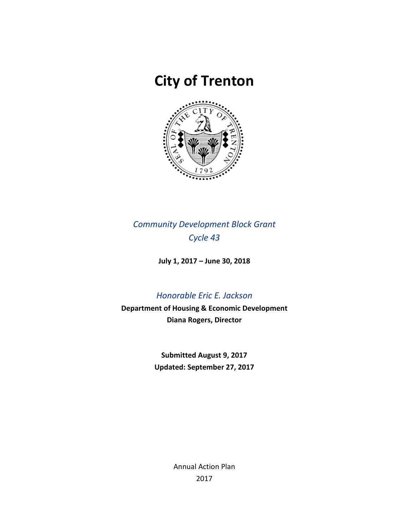# **City of Trenton**



*Community Development Block Grant Cycle 43*

**July 1, 2017 – June 30, 2018**

# *Honorable Eric E. Jackson*

**Department of Housing & Economic Development Diana Rogers, Director**

> **Submitted August 9, 2017 Updated: September 27, 2017**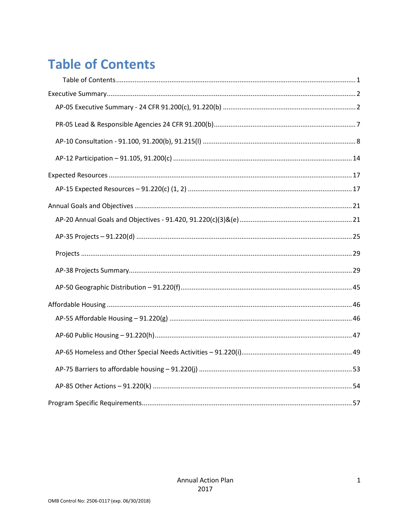# <span id="page-1-0"></span>**Table of Contents**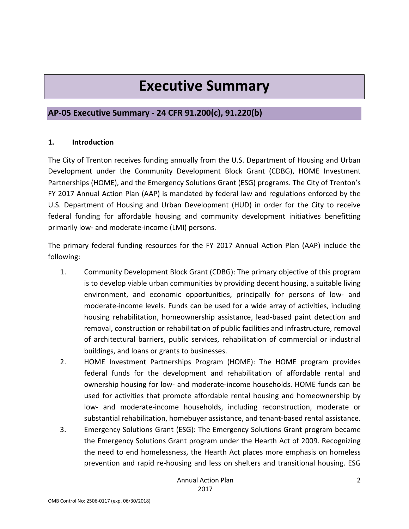# **Executive Summary**

# <span id="page-2-1"></span><span id="page-2-0"></span>**AP-05 Executive Summary - 24 CFR 91.200(c), 91.220(b)**

### **1. Introduction**

The City of Trenton receives funding annually from the U.S. Department of Housing and Urban Development under the Community Development Block Grant (CDBG), HOME Investment Partnerships (HOME), and the Emergency Solutions Grant (ESG) programs. The City of Trenton's FY 2017 Annual Action Plan (AAP) is mandated by federal law and regulations enforced by the U.S. Department of Housing and Urban Development (HUD) in order for the City to receive federal funding for affordable housing and community development initiatives benefitting primarily low- and moderate-income (LMI) persons.

The primary federal funding resources for the FY 2017 Annual Action Plan (AAP) include the following:

- 1. Community Development Block Grant (CDBG): The primary objective of this program is to develop viable urban communities by providing decent housing, a suitable living environment, and economic opportunities, principally for persons of low- and moderate-income levels. Funds can be used for a wide array of activities, including housing rehabilitation, homeownership assistance, lead-based paint detection and removal, construction or rehabilitation of public facilities and infrastructure, removal of architectural barriers, public services, rehabilitation of commercial or industrial buildings, and loans or grants to businesses.
- 2. HOME Investment Partnerships Program (HOME): The HOME program provides federal funds for the development and rehabilitation of affordable rental and ownership housing for low- and moderate-income households. HOME funds can be used for activities that promote affordable rental housing and homeownership by low- and moderate-income households, including reconstruction, moderate or substantial rehabilitation, homebuyer assistance, and tenant-based rental assistance.
- 3. Emergency Solutions Grant (ESG): The Emergency Solutions Grant program became the Emergency Solutions Grant program under the Hearth Act of 2009. Recognizing the need to end homelessness, the Hearth Act places more emphasis on homeless prevention and rapid re-housing and less on shelters and transitional housing. ESG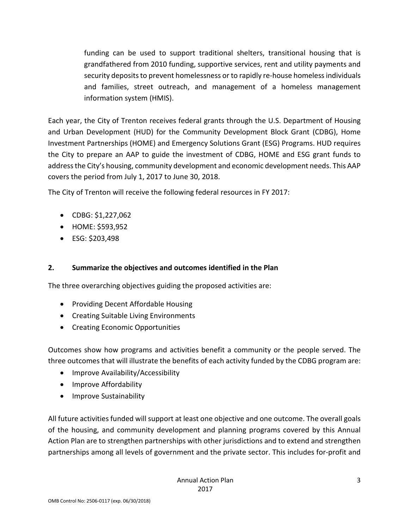funding can be used to support traditional shelters, transitional housing that is grandfathered from 2010 funding, supportive services, rent and utility payments and security deposits to prevent homelessness or to rapidly re-house homeless individuals and families, street outreach, and management of a homeless management information system (HMIS).

Each year, the City of Trenton receives federal grants through the U.S. Department of Housing and Urban Development (HUD) for the Community Development Block Grant (CDBG), Home Investment Partnerships (HOME) and Emergency Solutions Grant (ESG) Programs. HUD requires the City to prepare an AAP to guide the investment of CDBG, HOME and ESG grant funds to address the City's housing, community development and economic development needs. This AAP covers the period from July 1, 2017 to June 30, 2018.

The City of Trenton will receive the following federal resources in FY 2017:

- CDBG: \$1,227,062
- HOME: \$593,952
- ESG: \$203,498

### **2. Summarize the objectives and outcomes identified in the Plan**

The three overarching objectives guiding the proposed activities are:

- Providing Decent Affordable Housing
- Creating Suitable Living Environments
- Creating Economic Opportunities

Outcomes show how programs and activities benefit a community or the people served. The three outcomes that will illustrate the benefits of each activity funded by the CDBG program are:

- Improve Availability/Accessibility
- Improve Affordability
- Improve Sustainability

All future activities funded will support at least one objective and one outcome. The overall goals of the housing, and community development and planning programs covered by this Annual Action Plan are to strengthen partnerships with other jurisdictions and to extend and strengthen partnerships among all levels of government and the private sector. This includes for-profit and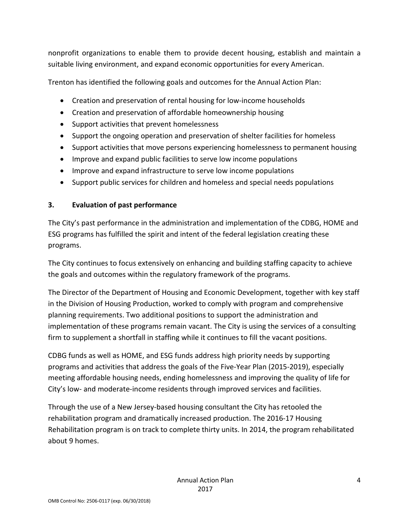nonprofit organizations to enable them to provide decent housing, establish and maintain a suitable living environment, and expand economic opportunities for every American.

Trenton has identified the following goals and outcomes for the Annual Action Plan:

- Creation and preservation of rental housing for low-income households
- Creation and preservation of affordable homeownership housing
- Support activities that prevent homelessness
- Support the ongoing operation and preservation of shelter facilities for homeless
- Support activities that move persons experiencing homelessness to permanent housing
- Improve and expand public facilities to serve low income populations
- Improve and expand infrastructure to serve low income populations
- Support public services for children and homeless and special needs populations

### **3. Evaluation of past performance**

The City's past performance in the administration and implementation of the CDBG, HOME and ESG programs has fulfilled the spirit and intent of the federal legislation creating these programs.

The City continues to focus extensively on enhancing and building staffing capacity to achieve the goals and outcomes within the regulatory framework of the programs.

The Director of the Department of Housing and Economic Development, together with key staff in the Division of Housing Production, worked to comply with program and comprehensive planning requirements. Two additional positions to support the administration and implementation of these programs remain vacant. The City is using the services of a consulting firm to supplement a shortfall in staffing while it continues to fill the vacant positions.

CDBG funds as well as HOME, and ESG funds address high priority needs by supporting programs and activities that address the goals of the Five-Year Plan (2015-2019), especially meeting affordable housing needs, ending homelessness and improving the quality of life for City's low- and moderate-income residents through improved services and facilities.

Through the use of a New Jersey-based housing consultant the City has retooled the rehabilitation program and dramatically increased production. The 2016-17 Housing Rehabilitation program is on track to complete thirty units. In 2014, the program rehabilitated about 9 homes.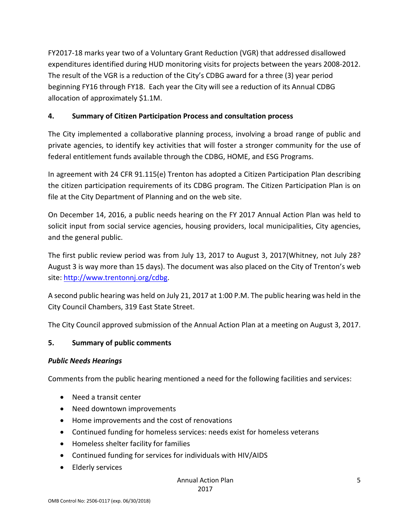FY2017-18 marks year two of a Voluntary Grant Reduction (VGR) that addressed disallowed expenditures identified during HUD monitoring visits for projects between the years 2008-2012. The result of the VGR is a reduction of the City's CDBG award for a three (3) year period beginning FY16 through FY18. Each year the City will see a reduction of its Annual CDBG allocation of approximately \$1.1M.

### **4. Summary of Citizen Participation Process and consultation process**

The City implemented a collaborative planning process, involving a broad range of public and private agencies, to identify key activities that will foster a stronger community for the use of federal entitlement funds available through the CDBG, HOME, and ESG Programs.

In agreement with 24 CFR 91.115(e) Trenton has adopted a Citizen Participation Plan describing the citizen participation requirements of its CDBG program. The Citizen Participation Plan is on file at the City Department of Planning and on the web site.

On December 14, 2016, a public needs hearing on the FY 2017 Annual Action Plan was held to solicit input from social service agencies, housing providers, local municipalities, City agencies, and the general public.

The first public review period was from July 13, 2017 to August 3, 2017(Whitney, not July 28? August 3 is way more than 15 days). The document was also placed on the City of Trenton's web site: [http://www.trentonnj.org/c](http://www.trentonnj.org/)dbg.

A second public hearing was held on July 21, 2017 at 1:00 P.M. The public hearing was held in the City Council Chambers, 319 East State Street.

The City Council approved submission of the Annual Action Plan at a meeting on August 3, 2017.

### **5. Summary of public comments**

### *Public Needs Hearings*

Comments from the public hearing mentioned a need for the following facilities and services:

- Need a transit center
- Need downtown improvements
- Home improvements and the cost of renovations
- Continued funding for homeless services: needs exist for homeless veterans
- Homeless shelter facility for families
- Continued funding for services for individuals with HIV/AIDS
- Elderly services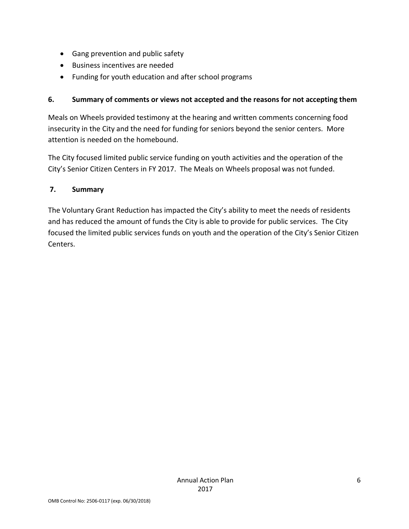- Gang prevention and public safety
- Business incentives are needed
- Funding for youth education and after school programs

### **6. Summary of comments or views not accepted and the reasons for not accepting them**

Meals on Wheels provided testimony at the hearing and written comments concerning food insecurity in the City and the need for funding for seniors beyond the senior centers. More attention is needed on the homebound.

The City focused limited public service funding on youth activities and the operation of the City's Senior Citizen Centers in FY 2017. The Meals on Wheels proposal was not funded.

### **7. Summary**

The Voluntary Grant Reduction has impacted the City's ability to meet the needs of residents and has reduced the amount of funds the City is able to provide for public services. The City focused the limited public services funds on youth and the operation of the City's Senior Citizen Centers.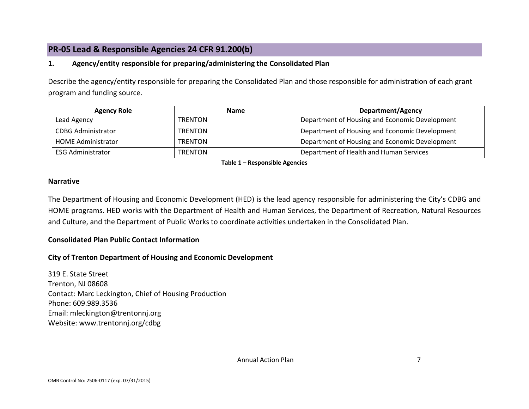# **PR-05 Lead & Responsible Agencies 24 CFR 91.200(b)**

### **1. Agency/entity responsible for preparing/administering the Consolidated Plan**

Describe the agency/entity responsible for preparing the Consolidated Plan and those responsible for administration of each grant program and funding source.

| <b>Agency Role</b>        | <b>Name</b>    | <b>Department/Agency</b>                       |  |  |
|---------------------------|----------------|------------------------------------------------|--|--|
| Lead Agency               | <b>TRENTON</b> | Department of Housing and Economic Development |  |  |
| <b>CDBG Administrator</b> | <b>TRENTON</b> | Department of Housing and Economic Development |  |  |
| <b>HOME Administrator</b> | <b>TRENTON</b> | Department of Housing and Economic Development |  |  |
| <b>ESG Administrator</b>  | <b>TRENTON</b> | Department of Health and Human Services        |  |  |

**Table 1 – Responsible Agencies**

#### <span id="page-7-0"></span>**Narrative**

The Department of Housing and Economic Development (HED) is the lead agency responsible for administering the City's CDBG and HOME programs. HED works with the Department of Health and Human Services, the Department of Recreation, Natural Resources and Culture, and the Department of Public Works to coordinate activities undertaken in the Consolidated Plan.

### **Consolidated Plan Public Contact Information**

### **City of Trenton Department of Housing and Economic Development**

319 E. State Street Trenton, NJ 08608 Contact: Marc Leckington, Chief of Housing Production Phone: 609.989.3536 Email: mleckington@trentonnj.org Website: www.trentonnj.org/cdbg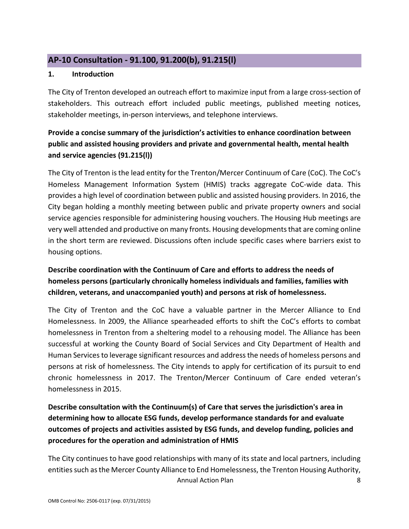# <span id="page-8-0"></span>**AP-10 Consultation - 91.100, 91.200(b), 91.215(l)**

### **1. Introduction**

The City of Trenton developed an outreach effort to maximize input from a large cross-section of stakeholders. This outreach effort included public meetings, published meeting notices, stakeholder meetings, in-person interviews, and telephone interviews.

# **Provide a concise summary of the jurisdiction's activities to enhance coordination between public and assisted housing providers and private and governmental health, mental health and service agencies (91.215(l))**

The City of Trenton is the lead entity for the Trenton/Mercer Continuum of Care (CoC). The CoC's Homeless Management Information System (HMIS) tracks aggregate CoC-wide data. This provides a high level of coordination between public and assisted housing providers. In 2016, the City began holding a monthly meeting between public and private property owners and social service agencies responsible for administering housing vouchers. The Housing Hub meetings are very well attended and productive on many fronts. Housing developments that are coming online in the short term are reviewed. Discussions often include specific cases where barriers exist to housing options.

# **Describe coordination with the Continuum of Care and efforts to address the needs of homeless persons (particularly chronically homeless individuals and families, families with children, veterans, and unaccompanied youth) and persons at risk of homelessness.**

The City of Trenton and the CoC have a valuable partner in the Mercer Alliance to End Homelessness. In 2009, the Alliance spearheaded efforts to shift the CoC's efforts to combat homelessness in Trenton from a sheltering model to a rehousing model. The Alliance has been successful at working the County Board of Social Services and City Department of Health and Human Services to leverage significant resources and address the needs of homeless persons and persons at risk of homelessness. The City intends to apply for certification of its pursuit to end chronic homelessness in 2017. The Trenton/Mercer Continuum of Care ended veteran's homelessness in 2015.

**Describe consultation with the Continuum(s) of Care that serves the jurisdiction's area in determining how to allocate ESG funds, develop performance standards for and evaluate outcomes of projects and activities assisted by ESG funds, and develop funding, policies and procedures for the operation and administration of HMIS**

Annual Action Plan 8 The City continues to have good relationships with many of its state and local partners, including entities such as the Mercer County Alliance to End Homelessness, the Trenton Housing Authority,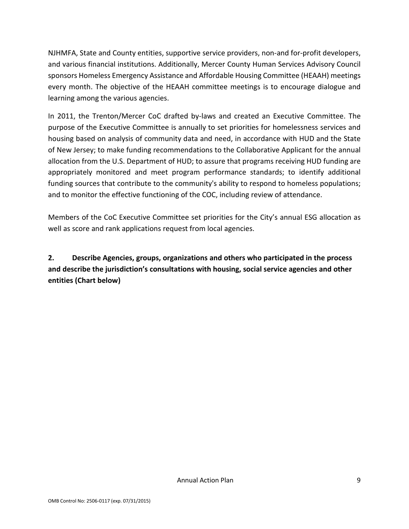NJHMFA, State and County entities, supportive service providers, non-and for-profit developers, and various financial institutions. Additionally, Mercer County Human Services Advisory Council sponsors Homeless Emergency Assistance and Affordable Housing Committee (HEAAH) meetings every month. The objective of the HEAAH committee meetings is to encourage dialogue and learning among the various agencies.

In 2011, the Trenton/Mercer CoC drafted by-laws and created an Executive Committee. The purpose of the Executive Committee is annually to set priorities for homelessness services and housing based on analysis of community data and need, in accordance with HUD and the State of New Jersey; to make funding recommendations to the Collaborative Applicant for the annual allocation from the U.S. Department of HUD; to assure that programs receiving HUD funding are appropriately monitored and meet program performance standards; to identify additional funding sources that contribute to the community's ability to respond to homeless populations; and to monitor the effective functioning of the COC, including review of attendance.

Members of the CoC Executive Committee set priorities for the City's annual ESG allocation as well as score and rank applications request from local agencies.

**2. Describe Agencies, groups, organizations and others who participated in the process and describe the jurisdiction's consultations with housing, social service agencies and other entities (Chart below)**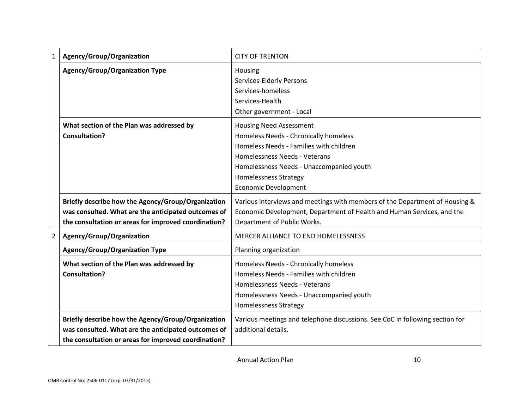| 1              | Agency/Group/Organization                            | <b>CITY OF TRENTON</b>                                                       |
|----------------|------------------------------------------------------|------------------------------------------------------------------------------|
|                | <b>Agency/Group/Organization Type</b>                | Housing<br>Services-Elderly Persons                                          |
|                |                                                      | Services-homeless                                                            |
|                |                                                      | Services-Health                                                              |
|                |                                                      | Other government - Local                                                     |
|                | What section of the Plan was addressed by            | <b>Housing Need Assessment</b>                                               |
|                | <b>Consultation?</b>                                 | Homeless Needs - Chronically homeless                                        |
|                |                                                      | Homeless Needs - Families with children                                      |
|                |                                                      | Homelessness Needs - Veterans                                                |
|                |                                                      | Homelessness Needs - Unaccompanied youth                                     |
|                |                                                      | <b>Homelessness Strategy</b>                                                 |
|                |                                                      | Economic Development                                                         |
|                | Briefly describe how the Agency/Group/Organization   | Various interviews and meetings with members of the Department of Housing &  |
|                | was consulted. What are the anticipated outcomes of  | Economic Development, Department of Health and Human Services, and the       |
|                | the consultation or areas for improved coordination? | Department of Public Works.                                                  |
| $\overline{2}$ | Agency/Group/Organization                            | MERCER ALLIANCE TO END HOMELESSNESS                                          |
|                | <b>Agency/Group/Organization Type</b>                | Planning organization                                                        |
|                | What section of the Plan was addressed by            | Homeless Needs - Chronically homeless                                        |
|                | <b>Consultation?</b>                                 | Homeless Needs - Families with children                                      |
|                |                                                      | Homelessness Needs - Veterans                                                |
|                |                                                      | Homelessness Needs - Unaccompanied youth                                     |
|                |                                                      | <b>Homelessness Strategy</b>                                                 |
|                | Briefly describe how the Agency/Group/Organization   | Various meetings and telephone discussions. See CoC in following section for |
|                | was consulted. What are the anticipated outcomes of  | additional details.                                                          |
|                | the consultation or areas for improved coordination? |                                                                              |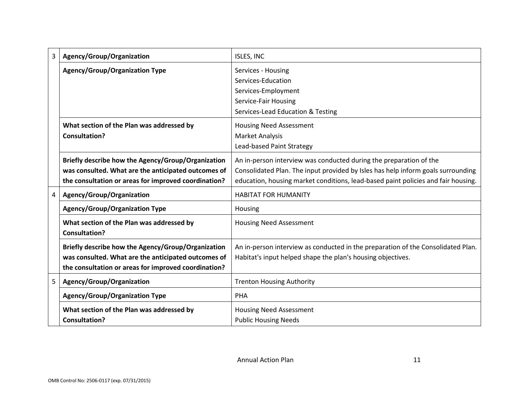| 3 | Agency/Group/Organization                                                                                                                                         | ISLES, INC                                                                                                                                                                                                                                  |
|---|-------------------------------------------------------------------------------------------------------------------------------------------------------------------|---------------------------------------------------------------------------------------------------------------------------------------------------------------------------------------------------------------------------------------------|
|   | <b>Agency/Group/Organization Type</b>                                                                                                                             | Services - Housing<br>Services-Education<br>Services-Employment<br>Service-Fair Housing<br>Services-Lead Education & Testing                                                                                                                |
|   | What section of the Plan was addressed by<br><b>Consultation?</b>                                                                                                 | <b>Housing Need Assessment</b><br><b>Market Analysis</b><br>Lead-based Paint Strategy                                                                                                                                                       |
|   | Briefly describe how the Agency/Group/Organization<br>was consulted. What are the anticipated outcomes of<br>the consultation or areas for improved coordination? | An in-person interview was conducted during the preparation of the<br>Consolidated Plan. The input provided by Isles has help inform goals surrounding<br>education, housing market conditions, lead-based paint policies and fair housing. |
| 4 | Agency/Group/Organization                                                                                                                                         | <b>HABITAT FOR HUMANITY</b>                                                                                                                                                                                                                 |
|   | <b>Agency/Group/Organization Type</b>                                                                                                                             | Housing                                                                                                                                                                                                                                     |
|   | What section of the Plan was addressed by<br><b>Consultation?</b>                                                                                                 | <b>Housing Need Assessment</b>                                                                                                                                                                                                              |
|   | Briefly describe how the Agency/Group/Organization<br>was consulted. What are the anticipated outcomes of<br>the consultation or areas for improved coordination? | An in-person interview as conducted in the preparation of the Consolidated Plan.<br>Habitat's input helped shape the plan's housing objectives.                                                                                             |
| 5 | Agency/Group/Organization                                                                                                                                         | <b>Trenton Housing Authority</b>                                                                                                                                                                                                            |
|   | <b>Agency/Group/Organization Type</b>                                                                                                                             | <b>PHA</b>                                                                                                                                                                                                                                  |
|   | What section of the Plan was addressed by<br><b>Consultation?</b>                                                                                                 | <b>Housing Need Assessment</b><br><b>Public Housing Needs</b>                                                                                                                                                                               |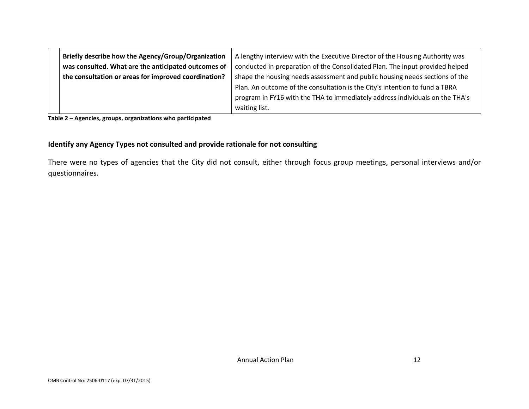| Briefly describe how the Agency/Group/Organization   | A lengthy interview with the Executive Director of the Housing Authority was |  |  |  |
|------------------------------------------------------|------------------------------------------------------------------------------|--|--|--|
| was consulted. What are the anticipated outcomes of  | conducted in preparation of the Consolidated Plan. The input provided helped |  |  |  |
| the consultation or areas for improved coordination? | shape the housing needs assessment and public housing needs sections of the  |  |  |  |
|                                                      | Plan. An outcome of the consultation is the City's intention to fund a TBRA  |  |  |  |
|                                                      | program in FY16 with the THA to immediately address individuals on the THA's |  |  |  |
|                                                      | waiting list.                                                                |  |  |  |

**Table 2 – Agencies, groups, organizations who participated**

#### **Identify any Agency Types not consulted and provide rationale for not consulting**

There were no types of agencies that the City did not consult, either through focus group meetings, personal interviews and/or questionnaires.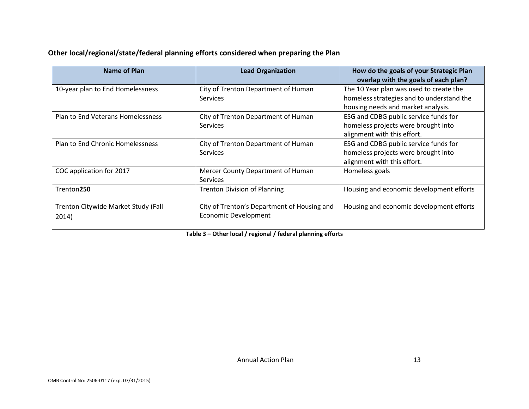### **Other local/regional/state/federal planning efforts considered when preparing the Plan**

| Name of Plan                                 | <b>Lead Organization</b>                                                   | How do the goals of your Strategic Plan<br>overlap with the goals of each plan?                                            |
|----------------------------------------------|----------------------------------------------------------------------------|----------------------------------------------------------------------------------------------------------------------------|
| 10-year plan to End Homelessness             | City of Trenton Department of Human<br><b>Services</b>                     | The 10 Year plan was used to create the<br>homeless strategies and to understand the<br>housing needs and market analysis. |
| Plan to End Veterans Homelessness            | City of Trenton Department of Human<br>Services                            | ESG and CDBG public service funds for<br>homeless projects were brought into<br>alignment with this effort.                |
| Plan to End Chronic Homelessness             | City of Trenton Department of Human<br>Services                            | ESG and CDBG public service funds for<br>homeless projects were brought into<br>alignment with this effort.                |
| COC application for 2017                     | Mercer County Department of Human<br><b>Services</b>                       | Homeless goals                                                                                                             |
| Trenton250                                   | <b>Trenton Division of Planning</b>                                        | Housing and economic development efforts                                                                                   |
| Trenton Citywide Market Study (Fall<br>2014) | City of Trenton's Department of Housing and<br><b>Economic Development</b> | Housing and economic development efforts                                                                                   |

**Table 3 – Other local / regional / federal planning efforts**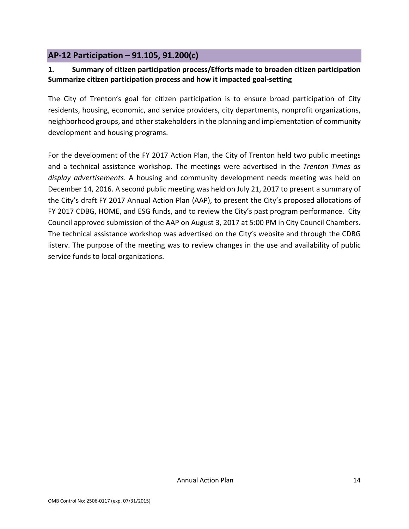# <span id="page-14-0"></span>**AP-12 Participation – 91.105, 91.200(c)**

### **1. Summary of citizen participation process/Efforts made to broaden citizen participation Summarize citizen participation process and how it impacted goal-setting**

The City of Trenton's goal for citizen participation is to ensure broad participation of City residents, housing, economic, and service providers, city departments, nonprofit organizations, neighborhood groups, and other stakeholders in the planning and implementation of community development and housing programs.

For the development of the FY 2017 Action Plan, the City of Trenton held two public meetings and a technical assistance workshop. The meetings were advertised in the *Trenton Times as display advertisements*. A housing and community development needs meeting was held on December 14, 2016. A second public meeting was held on July 21, 2017 to present a summary of the City's draft FY 2017 Annual Action Plan (AAP), to present the City's proposed allocations of FY 2017 CDBG, HOME, and ESG funds, and to review the City's past program performance. City Council approved submission of the AAP on August 3, 2017 at 5:00 PM in City Council Chambers. The technical assistance workshop was advertised on the City's website and through the CDBG listerv. The purpose of the meeting was to review changes in the use and availability of public service funds to local organizations.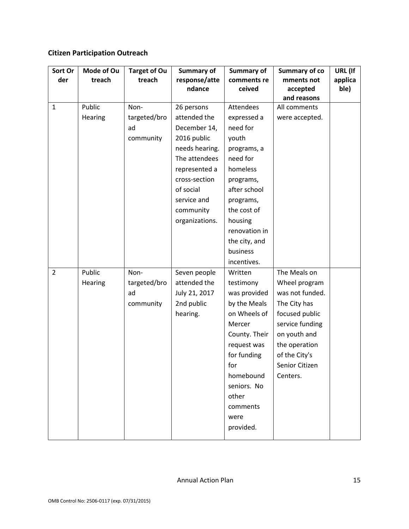# **Citizen Participation Outreach**

| Sort Or        | Mode of Ou | <b>Target of Ou</b> | Summary of     | Summary of    | <b>Summary of co</b> | URL (If |
|----------------|------------|---------------------|----------------|---------------|----------------------|---------|
| der            | treach     | treach              | response/atte  | comments re   | mments not           | applica |
|                |            |                     | ndance         | ceived        | accepted             | ble)    |
|                |            |                     |                |               | and reasons          |         |
| $\mathbf{1}$   | Public     | Non-                | 26 persons     | Attendees     | All comments         |         |
|                | Hearing    | targeted/bro        | attended the   | expressed a   | were accepted.       |         |
|                |            | ad                  | December 14,   | need for      |                      |         |
|                |            | community           | 2016 public    | youth         |                      |         |
|                |            |                     | needs hearing. | programs, a   |                      |         |
|                |            |                     | The attendees  | need for      |                      |         |
|                |            |                     | represented a  | homeless      |                      |         |
|                |            |                     | cross-section  | programs,     |                      |         |
|                |            |                     | of social      | after school  |                      |         |
|                |            |                     | service and    | programs,     |                      |         |
|                |            |                     | community      | the cost of   |                      |         |
|                |            |                     | organizations. | housing       |                      |         |
|                |            |                     |                | renovation in |                      |         |
|                |            |                     |                | the city, and |                      |         |
|                |            |                     |                | business      |                      |         |
|                |            |                     |                | incentives.   |                      |         |
| $\overline{2}$ | Public     | Non-                | Seven people   | Written       | The Meals on         |         |
|                | Hearing    | targeted/bro        | attended the   | testimony     | Wheel program        |         |
|                |            | ad                  | July 21, 2017  | was provided  | was not funded.      |         |
|                |            | community           | 2nd public     | by the Meals  | The City has         |         |
|                |            |                     | hearing.       | on Wheels of  | focused public       |         |
|                |            |                     |                | Mercer        | service funding      |         |
|                |            |                     |                | County. Their | on youth and         |         |
|                |            |                     |                | request was   | the operation        |         |
|                |            |                     |                | for funding   | of the City's        |         |
|                |            |                     |                | for           | Senior Citizen       |         |
|                |            |                     |                | homebound     | Centers.             |         |
|                |            |                     |                | seniors. No   |                      |         |
|                |            |                     |                | other         |                      |         |
|                |            |                     |                | comments      |                      |         |
|                |            |                     |                | were          |                      |         |
|                |            |                     |                | provided.     |                      |         |
|                |            |                     |                |               |                      |         |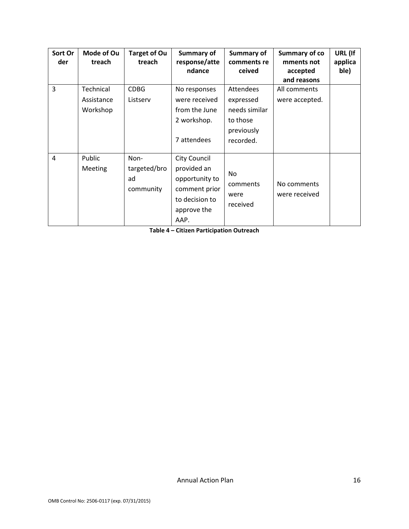| Sort Or<br>der | Mode of Ou<br>treach                | <b>Target of Ou</b><br>treach           | Summary of<br>response/atte<br>ndance                                                                          | <b>Summary of</b><br>comments re<br>ceived                                     | Summary of co<br>mments not<br>accepted<br>and reasons | URL (If<br>applica<br>ble) |
|----------------|-------------------------------------|-----------------------------------------|----------------------------------------------------------------------------------------------------------------|--------------------------------------------------------------------------------|--------------------------------------------------------|----------------------------|
| 3              | Technical<br>Assistance<br>Workshop | <b>CDBG</b><br>Listserv                 | No responses<br>were received<br>from the June<br>2 workshop.<br>7 attendees                                   | Attendees<br>expressed<br>needs similar<br>to those<br>previously<br>recorded. | All comments<br>were accepted.                         |                            |
| $\overline{a}$ | Public<br><b>Meeting</b>            | Non-<br>targeted/bro<br>ad<br>community | <b>City Council</b><br>provided an<br>opportunity to<br>comment prior<br>to decision to<br>approve the<br>AAP. | No.<br>comments<br>were<br>received                                            | No comments<br>were received                           |                            |

**Table 4 – Citizen Participation Outreach**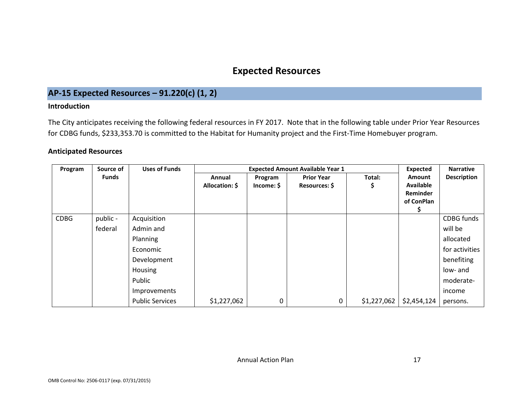# **Expected Resources**

# **AP-15 Expected Resources – 91.220(c) (1, 2)**

#### **Introduction**

The City anticipates receiving the following federal resources in FY 2017. Note that in the following table under Prior Year Resources for CDBG funds, \$233,353.70 is committed to the Habitat for Humanity project and the First-Time Homebuyer program.

#### **Anticipated Resources**

<span id="page-17-1"></span><span id="page-17-0"></span>

| Program     | Source of    | <b>Uses of Funds</b>   |                          | <b>Expected</b>       | <b>Narrative</b>                   |              |                                                                    |                    |
|-------------|--------------|------------------------|--------------------------|-----------------------|------------------------------------|--------------|--------------------------------------------------------------------|--------------------|
|             | <b>Funds</b> |                        | Annual<br>Allocation: \$ | Program<br>Income: \$ | <b>Prior Year</b><br>Resources: \$ | Total:<br>\$ | <b>Amount</b><br><b>Available</b><br><b>Reminder</b><br>of ConPlan | <b>Description</b> |
| <b>CDBG</b> | public -     | Acquisition            |                          |                       |                                    |              |                                                                    | CDBG funds         |
|             | federal      | Admin and              |                          |                       |                                    |              |                                                                    | will be            |
|             |              | Planning               |                          |                       |                                    |              |                                                                    | allocated          |
|             |              | Economic               |                          |                       |                                    |              |                                                                    | for activities     |
|             |              | Development            |                          |                       |                                    |              |                                                                    | benefiting         |
|             |              | Housing                |                          |                       |                                    |              |                                                                    | low- and           |
|             |              | Public                 |                          |                       |                                    |              |                                                                    | moderate-          |
|             |              | Improvements           |                          |                       |                                    |              |                                                                    | income             |
|             |              | <b>Public Services</b> | \$1,227,062              | 0                     | 0                                  | \$1,227,062  | \$2,454,124                                                        | persons.           |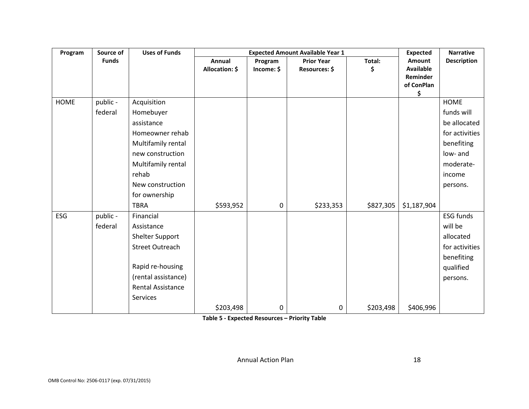| Program     | Source of    | <b>Uses of Funds</b>     |                | <b>Expected</b> | <b>Narrative</b>  |           |                        |                    |
|-------------|--------------|--------------------------|----------------|-----------------|-------------------|-----------|------------------------|--------------------|
|             | <b>Funds</b> |                          | Annual         | Program         | <b>Prior Year</b> | Total:    | Amount                 | <b>Description</b> |
|             |              |                          | Allocation: \$ | Income: \$      | Resources: \$     | \$        | <b>Available</b>       |                    |
|             |              |                          |                |                 |                   |           | Reminder<br>of ConPlan |                    |
|             |              |                          |                |                 |                   |           | \$                     |                    |
| <b>HOME</b> | public -     | Acquisition              |                |                 |                   |           |                        | <b>HOME</b>        |
|             | federal      | Homebuyer                |                |                 |                   |           |                        | funds will         |
|             |              | assistance               |                |                 |                   |           |                        | be allocated       |
|             |              | Homeowner rehab          |                |                 |                   |           |                        | for activities     |
|             |              | Multifamily rental       |                |                 |                   |           |                        | benefiting         |
|             |              | new construction         |                |                 |                   |           |                        | low- and           |
|             |              | Multifamily rental       |                |                 |                   |           |                        | moderate-          |
|             |              | rehab                    |                |                 |                   |           |                        | income             |
|             |              | New construction         |                |                 |                   |           |                        | persons.           |
|             |              | for ownership            |                |                 |                   |           |                        |                    |
|             |              | <b>TBRA</b>              | \$593,952      | 0               | \$233,353         | \$827,305 | \$1,187,904            |                    |
| <b>ESG</b>  | public -     | Financial                |                |                 |                   |           |                        | <b>ESG funds</b>   |
|             | federal      | Assistance               |                |                 |                   |           |                        | will be            |
|             |              | Shelter Support          |                |                 |                   |           |                        | allocated          |
|             |              | <b>Street Outreach</b>   |                |                 |                   |           |                        | for activities     |
|             |              |                          |                |                 |                   |           |                        | benefiting         |
|             |              | Rapid re-housing         |                |                 |                   |           |                        | qualified          |
|             |              | (rental assistance)      |                |                 |                   |           |                        | persons.           |
|             |              | <b>Rental Assistance</b> |                |                 |                   |           |                        |                    |
|             |              | Services                 |                |                 |                   |           |                        |                    |
|             |              |                          | \$203,498      | 0               | $\mathbf 0$       | \$203,498 | \$406,996              |                    |

**Table 5 - Expected Resources – Priority Table**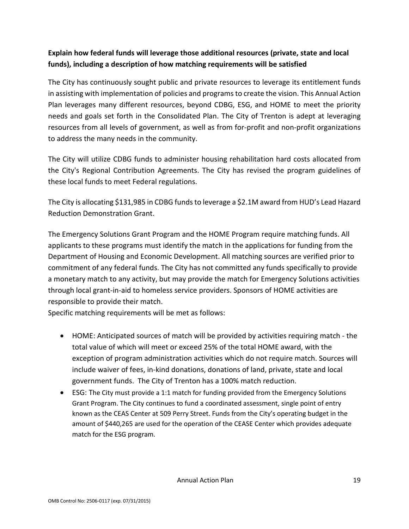# **Explain how federal funds will leverage those additional resources (private, state and local funds), including a description of how matching requirements will be satisfied**

The City has continuously sought public and private resources to leverage its entitlement funds in assisting with implementation of policies and programs to create the vision. This Annual Action Plan leverages many different resources, beyond CDBG, ESG, and HOME to meet the priority needs and goals set forth in the Consolidated Plan. The City of Trenton is adept at leveraging resources from all levels of government, as well as from for-profit and non-profit organizations to address the many needs in the community.

The City will utilize CDBG funds to administer housing rehabilitation hard costs allocated from the City's Regional Contribution Agreements. The City has revised the program guidelines of these local funds to meet Federal regulations.

The City is allocating \$131,985 in CDBG funds to leverage a \$2.1M award from HUD's Lead Hazard Reduction Demonstration Grant.

The Emergency Solutions Grant Program and the HOME Program require matching funds. All applicants to these programs must identify the match in the applications for funding from the Department of Housing and Economic Development. All matching sources are verified prior to commitment of any federal funds. The City has not committed any funds specifically to provide a monetary match to any activity, but may provide the match for Emergency Solutions activities through local grant-in-aid to homeless service providers. Sponsors of HOME activities are responsible to provide their match.

Specific matching requirements will be met as follows:

- HOME: Anticipated sources of match will be provided by activities requiring match the total value of which will meet or exceed 25% of the total HOME award, with the exception of program administration activities which do not require match. Sources will include waiver of fees, in-kind donations, donations of land, private, state and local government funds. The City of Trenton has a 100% match reduction.
- ESG: The City must provide a 1:1 match for funding provided from the Emergency Solutions Grant Program. The City continues to fund a coordinated assessment, single point of entry known as the CEAS Center at 509 Perry Street. Funds from the City's operating budget in the amount of \$440,265 are used for the operation of the CEASE Center which provides adequate match for the ESG program.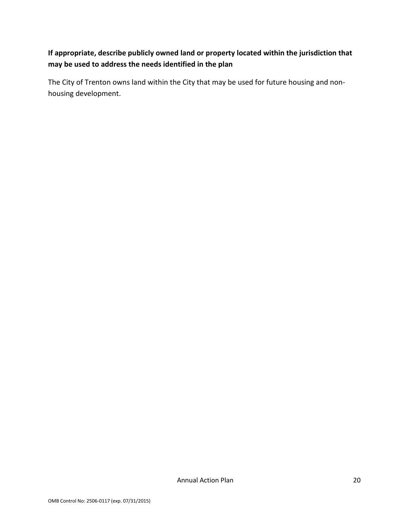# **If appropriate, describe publicly owned land or property located within the jurisdiction that may be used to address the needs identified in the plan**

The City of Trenton owns land within the City that may be used for future housing and nonhousing development.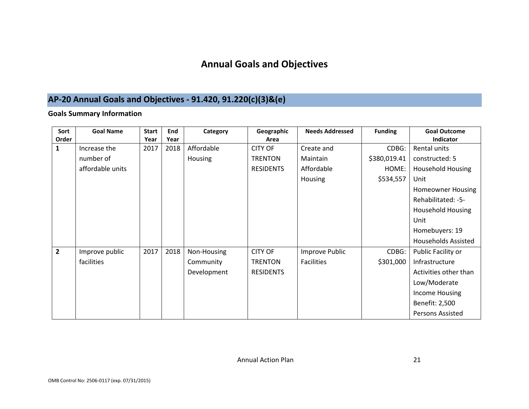# **Annual Goals and Objectives**

# **AP-20 Annual Goals and Objectives - 91.420, 91.220(c)(3)&(e)**

### **Goals Summary Information**

<span id="page-21-1"></span><span id="page-21-0"></span>

| Sort           | <b>Goal Name</b> | <b>Start</b> | End  | Category    | Geographic       | <b>Needs Addressed</b> | <b>Funding</b> | <b>Goal Outcome</b>        |  |
|----------------|------------------|--------------|------|-------------|------------------|------------------------|----------------|----------------------------|--|
| Order          |                  | Year         | Year |             | Area             |                        |                | Indicator                  |  |
| $\mathbf{1}$   | Increase the     | 2017         | 2018 | Affordable  | <b>CITY OF</b>   | Create and             | CDBG:          | Rental units               |  |
|                | number of        |              |      | Housing     | <b>TRENTON</b>   | Maintain               | \$380,019.41   | constructed: 5             |  |
|                | affordable units |              |      |             | <b>RESIDENTS</b> | Affordable             | HOME:          | <b>Household Housing</b>   |  |
|                |                  |              |      |             |                  | Housing                | \$534,557      | Unit                       |  |
|                |                  |              |      |             |                  |                        |                | <b>Homeowner Housing</b>   |  |
|                |                  |              |      |             |                  |                        |                | Rehabilitated: -5-         |  |
|                |                  |              |      |             |                  |                        |                | <b>Household Housing</b>   |  |
|                |                  |              |      |             |                  |                        |                | Unit                       |  |
|                |                  |              |      |             |                  |                        |                | Homebuyers: 19             |  |
|                |                  |              |      |             |                  |                        |                | <b>Households Assisted</b> |  |
| $\overline{2}$ | Improve public   | 2017         | 2018 | Non-Housing | <b>CITY OF</b>   | Improve Public         | CDBG:          | Public Facility or         |  |
|                | facilities       |              |      | Community   | <b>TRENTON</b>   | <b>Facilities</b>      | \$301,000      | Infrastructure             |  |
|                |                  |              |      | Development | <b>RESIDENTS</b> |                        |                | Activities other than      |  |
|                |                  |              |      |             |                  |                        |                | Low/Moderate               |  |
|                |                  |              |      |             |                  |                        |                | Income Housing             |  |
|                |                  |              |      |             |                  |                        |                | Benefit: 2,500             |  |
|                |                  |              |      |             |                  |                        |                | <b>Persons Assisted</b>    |  |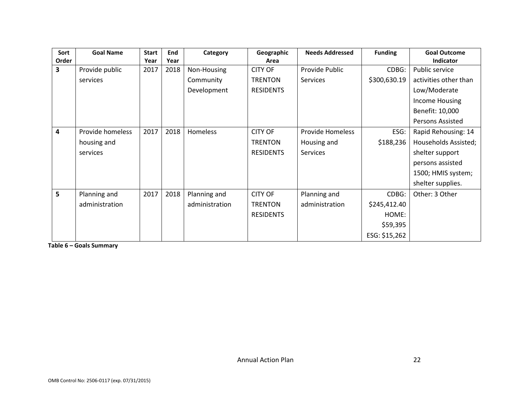| Sort                    | <b>Goal Name</b> | <b>Start</b> | End  | Category        | Geographic       | <b>Needs Addressed</b>  | <b>Funding</b> | <b>Goal Outcome</b>   |  |
|-------------------------|------------------|--------------|------|-----------------|------------------|-------------------------|----------------|-----------------------|--|
| Order                   |                  | Year         | Year |                 | Area             |                         |                | Indicator             |  |
| 3                       | Provide public   | 2017         | 2018 | Non-Housing     | <b>CITY OF</b>   | Provide Public          | CDBG:          | Public service        |  |
|                         | services         |              |      | Community       | <b>TRENTON</b>   | Services                | \$300,630.19   | activities other than |  |
|                         |                  |              |      | Development     | <b>RESIDENTS</b> |                         |                | Low/Moderate          |  |
|                         |                  |              |      |                 |                  |                         |                | Income Housing        |  |
|                         |                  |              |      |                 |                  |                         |                | Benefit: 10,000       |  |
|                         |                  |              |      |                 |                  |                         |                | Persons Assisted      |  |
| $\overline{\mathbf{4}}$ | Provide homeless | 2017         | 2018 | <b>Homeless</b> | <b>CITY OF</b>   | <b>Provide Homeless</b> | ESG:           | Rapid Rehousing: 14   |  |
|                         | housing and      |              |      |                 | <b>TRENTON</b>   | Housing and             | \$188,236      | Households Assisted;  |  |
|                         | services         |              |      |                 | <b>RESIDENTS</b> | Services                |                | shelter support       |  |
|                         |                  |              |      |                 |                  |                         |                | persons assisted      |  |
|                         |                  |              |      |                 |                  |                         |                | 1500; HMIS system;    |  |
|                         |                  |              |      |                 |                  |                         |                | shelter supplies.     |  |
| 5                       | Planning and     | 2017         | 2018 | Planning and    | <b>CITY OF</b>   | Planning and            | CDBG:          | Other: 3 Other        |  |
|                         | administration   |              |      | administration  | <b>TRENTON</b>   | administration          | \$245,412.40   |                       |  |
|                         |                  |              |      |                 | <b>RESIDENTS</b> |                         | HOME:          |                       |  |
|                         |                  |              |      |                 |                  |                         | \$59,395       |                       |  |
|                         |                  |              |      |                 |                  |                         | ESG: \$15,262  |                       |  |

**Table 6 – Goals Summary**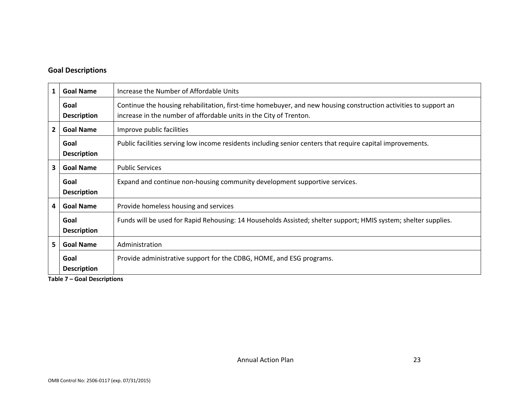### **Goal Descriptions**

| 1            | <b>Goal Name</b>           | Increase the Number of Affordable Units                                                                                                                                                |
|--------------|----------------------------|----------------------------------------------------------------------------------------------------------------------------------------------------------------------------------------|
|              | Goal<br><b>Description</b> | Continue the housing rehabilitation, first-time homebuyer, and new housing construction activities to support an<br>increase in the number of affordable units in the City of Trenton. |
| $\mathbf{2}$ | <b>Goal Name</b>           | Improve public facilities                                                                                                                                                              |
|              | Goal<br><b>Description</b> | Public facilities serving low income residents including senior centers that require capital improvements.                                                                             |
| 3            | <b>Goal Name</b>           | <b>Public Services</b>                                                                                                                                                                 |
|              | Goal<br><b>Description</b> | Expand and continue non-housing community development supportive services.                                                                                                             |
| 4            | <b>Goal Name</b>           | Provide homeless housing and services                                                                                                                                                  |
|              | Goal<br><b>Description</b> | Funds will be used for Rapid Rehousing: 14 Households Assisted; shelter support; HMIS system; shelter supplies.                                                                        |
| 5            | <b>Goal Name</b>           | Administration                                                                                                                                                                         |
|              | Goal<br><b>Description</b> | Provide administrative support for the CDBG, HOME, and ESG programs.                                                                                                                   |

**Table 7 – Goal Descriptions**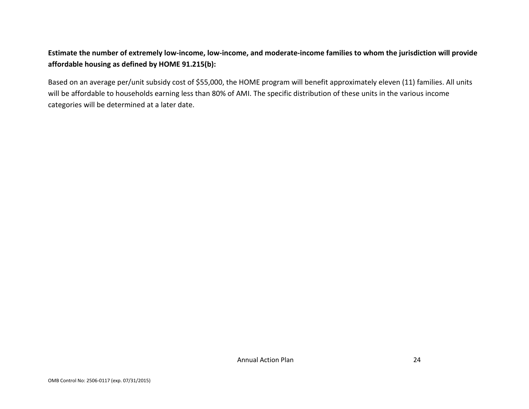# **Estimate the number of extremely low-income, low-income, and moderate-income families to whom the jurisdiction will provide affordable housing as defined by HOME 91.215(b):**

Based on an average per/unit subsidy cost of \$55,000, the HOME program will benefit approximately eleven (11) families. All units will be affordable to households earning less than 80% of AMI. The specific distribution of these units in the various income categories will be determined at a later date.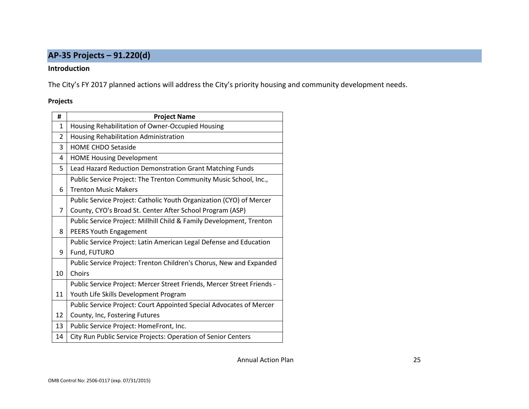# **AP-35 Projects – 91.220(d)**

#### **Introduction**

The City's FY 2017 planned actions will address the City's priority housing and community development needs.

#### **Projects**

<span id="page-25-0"></span>

| #  | <b>Project Name</b>                                                    |
|----|------------------------------------------------------------------------|
| 1  | Housing Rehabilitation of Owner-Occupied Housing                       |
| 2  | Housing Rehabilitation Administration                                  |
| 3  | <b>HOME CHDO Setaside</b>                                              |
| 4  | <b>HOME Housing Development</b>                                        |
| 5  | Lead Hazard Reduction Demonstration Grant Matching Funds               |
|    | Public Service Project: The Trenton Community Music School, Inc.,      |
| 6  | <b>Trenton Music Makers</b>                                            |
|    | Public Service Project: Catholic Youth Organization (CYO) of Mercer    |
| 7  | County, CYO's Broad St. Center After School Program (ASP)              |
|    | Public Service Project: Millhill Child & Family Development, Trenton   |
| 8  | PEERS Youth Engagement                                                 |
|    | Public Service Project: Latin American Legal Defense and Education     |
| 9  | Fund, FUTURO                                                           |
|    | Public Service Project: Trenton Children's Chorus, New and Expanded    |
| 10 | Choirs                                                                 |
|    | Public Service Project: Mercer Street Friends, Mercer Street Friends - |
| 11 | Youth Life Skills Development Program                                  |
|    | Public Service Project: Court Appointed Special Advocates of Mercer    |
| 12 | County, Inc, Fostering Futures                                         |
| 13 | Public Service Project: HomeFront, Inc.                                |
| 14 | City Run Public Service Projects: Operation of Senior Centers          |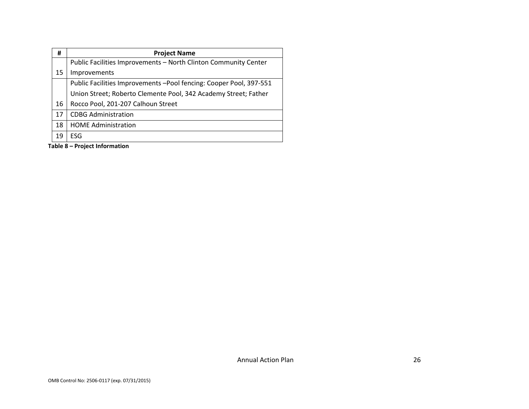| #  | <b>Project Name</b>                                                 |  |
|----|---------------------------------------------------------------------|--|
|    | Public Facilities Improvements - North Clinton Community Center     |  |
| 15 | Improvements                                                        |  |
|    | Public Facilities Improvements - Pool fencing: Cooper Pool, 397-551 |  |
|    | Union Street; Roberto Clemente Pool, 342 Academy Street; Father     |  |
| 16 | Rocco Pool, 201-207 Calhoun Street                                  |  |
| 17 | <b>CDBG Administration</b>                                          |  |
| 18 | <b>HOME Administration</b>                                          |  |
| 19 | ESG                                                                 |  |

**Table 8 – Project Information**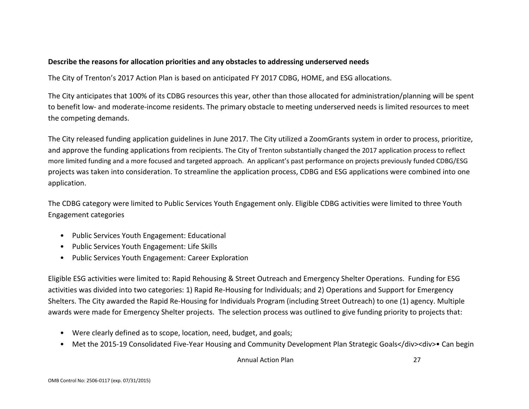### **Describe the reasons for allocation priorities and any obstacles to addressing underserved needs**

The City of Trenton's 2017 Action Plan is based on anticipated FY 2017 CDBG, HOME, and ESG allocations.

The City anticipates that 100% of its CDBG resources this year, other than those allocated for administration/planning will be spent to benefit low- and moderate-income residents. The primary obstacle to meeting underserved needs is limited resources to meet the competing demands.

The City released funding application guidelines in June 2017. The City utilized a ZoomGrants system in order to process, prioritize, and approve the funding applications from recipients. The City of Trenton substantially changed the 2017 application process to reflect more limited funding and a more focused and targeted approach. An applicant's past performance on projects previously funded CDBG/ESG projects was taken into consideration. To streamline the application process, CDBG and ESG applications were combined into one application.

The CDBG category were limited to Public Services Youth Engagement only. Eligible CDBG activities were limited to three Youth Engagement categories

- Public Services Youth Engagement: Educational
- Public Services Youth Engagement: Life Skills
- Public Services Youth Engagement: Career Exploration

Eligible ESG activities were limited to: Rapid Rehousing & Street Outreach and Emergency Shelter Operations. Funding for ESG activities was divided into two categories: 1) Rapid Re-Housing for Individuals; and 2) Operations and Support for Emergency Shelters. The City awarded the Rapid Re-Housing for Individuals Program (including Street Outreach) to one (1) agency. Multiple awards were made for Emergency Shelter projects. The selection process was outlined to give funding priority to projects that:

- Were clearly defined as to scope, location, need, budget, and goals;
- Met the 2015-19 Consolidated Five-Year Housing and Community Development Plan Strategic Goals</div><div>• Can begin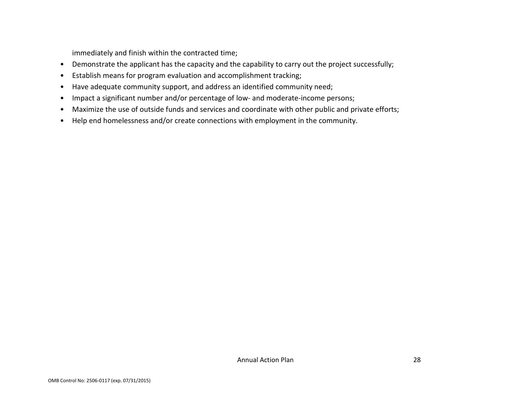immediately and finish within the contracted time;

- Demonstrate the applicant has the capacity and the capability to carry out the project successfully;
- Establish means for program evaluation and accomplishment tracking;
- Have adequate community support, and address an identified community need;
- Impact a significant number and/or percentage of low- and moderate-income persons;
- Maximize the use of outside funds and services and coordinate with other public and private efforts;
- Help end homelessness and/or create connections with employment in the community.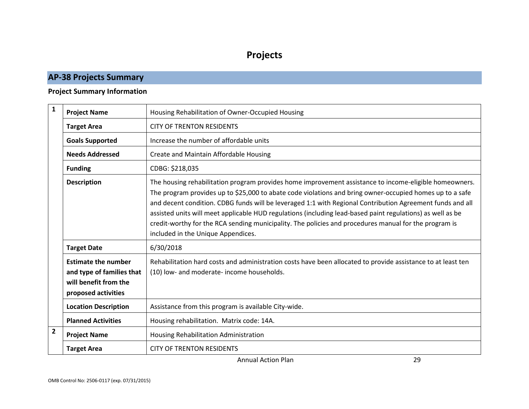# **Projects**

# **AP-38 Projects Summary**

# **Project Summary Information**

<span id="page-29-1"></span><span id="page-29-0"></span>

| $\mathbf{1}$   | <b>Project Name</b>                                                                                     | Housing Rehabilitation of Owner-Occupied Housing                                                                                                                                                                                                                                                                                                                                                                                                                                                                                                                                             |
|----------------|---------------------------------------------------------------------------------------------------------|----------------------------------------------------------------------------------------------------------------------------------------------------------------------------------------------------------------------------------------------------------------------------------------------------------------------------------------------------------------------------------------------------------------------------------------------------------------------------------------------------------------------------------------------------------------------------------------------|
|                | <b>Target Area</b>                                                                                      | <b>CITY OF TRENTON RESIDENTS</b>                                                                                                                                                                                                                                                                                                                                                                                                                                                                                                                                                             |
|                | <b>Goals Supported</b>                                                                                  | Increase the number of affordable units                                                                                                                                                                                                                                                                                                                                                                                                                                                                                                                                                      |
|                | <b>Needs Addressed</b>                                                                                  | Create and Maintain Affordable Housing                                                                                                                                                                                                                                                                                                                                                                                                                                                                                                                                                       |
|                | <b>Funding</b>                                                                                          | CDBG: \$218,035                                                                                                                                                                                                                                                                                                                                                                                                                                                                                                                                                                              |
|                | <b>Description</b>                                                                                      | The housing rehabilitation program provides home improvement assistance to income-eligible homeowners.<br>The program provides up to \$25,000 to abate code violations and bring owner-occupied homes up to a safe<br>and decent condition. CDBG funds will be leveraged 1:1 with Regional Contribution Agreement funds and all<br>assisted units will meet applicable HUD regulations (including lead-based paint regulations) as well as be<br>credit-worthy for the RCA sending municipality. The policies and procedures manual for the program is<br>included in the Unique Appendices. |
|                | <b>Target Date</b>                                                                                      | 6/30/2018                                                                                                                                                                                                                                                                                                                                                                                                                                                                                                                                                                                    |
|                | <b>Estimate the number</b><br>and type of families that<br>will benefit from the<br>proposed activities | Rehabilitation hard costs and administration costs have been allocated to provide assistance to at least ten<br>(10) low- and moderate- income households.                                                                                                                                                                                                                                                                                                                                                                                                                                   |
|                | <b>Location Description</b>                                                                             | Assistance from this program is available City-wide.                                                                                                                                                                                                                                                                                                                                                                                                                                                                                                                                         |
|                | <b>Planned Activities</b>                                                                               | Housing rehabilitation. Matrix code: 14A.                                                                                                                                                                                                                                                                                                                                                                                                                                                                                                                                                    |
| $\overline{2}$ | <b>Project Name</b>                                                                                     | Housing Rehabilitation Administration                                                                                                                                                                                                                                                                                                                                                                                                                                                                                                                                                        |
|                | <b>Target Area</b>                                                                                      | <b>CITY OF TRENTON RESIDENTS</b>                                                                                                                                                                                                                                                                                                                                                                                                                                                                                                                                                             |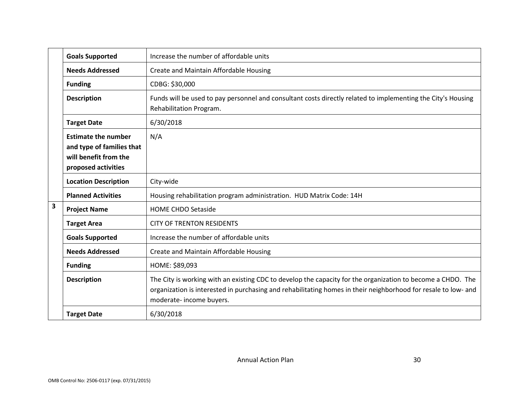|                         | <b>Goals Supported</b>                                                                                  | Increase the number of affordable units                                                                                                                                                                                                                   |
|-------------------------|---------------------------------------------------------------------------------------------------------|-----------------------------------------------------------------------------------------------------------------------------------------------------------------------------------------------------------------------------------------------------------|
|                         | <b>Needs Addressed</b>                                                                                  | Create and Maintain Affordable Housing                                                                                                                                                                                                                    |
|                         | <b>Funding</b>                                                                                          | CDBG: \$30,000                                                                                                                                                                                                                                            |
|                         | <b>Description</b>                                                                                      | Funds will be used to pay personnel and consultant costs directly related to implementing the City's Housing<br>Rehabilitation Program.                                                                                                                   |
|                         | <b>Target Date</b>                                                                                      | 6/30/2018                                                                                                                                                                                                                                                 |
|                         | <b>Estimate the number</b><br>and type of families that<br>will benefit from the<br>proposed activities | N/A                                                                                                                                                                                                                                                       |
|                         | <b>Location Description</b>                                                                             | City-wide                                                                                                                                                                                                                                                 |
|                         | <b>Planned Activities</b>                                                                               | Housing rehabilitation program administration. HUD Matrix Code: 14H                                                                                                                                                                                       |
| $\overline{\mathbf{3}}$ | <b>Project Name</b>                                                                                     | <b>HOME CHDO Setaside</b>                                                                                                                                                                                                                                 |
|                         | <b>Target Area</b>                                                                                      | <b>CITY OF TRENTON RESIDENTS</b>                                                                                                                                                                                                                          |
|                         | <b>Goals Supported</b>                                                                                  | Increase the number of affordable units                                                                                                                                                                                                                   |
|                         | <b>Needs Addressed</b>                                                                                  | Create and Maintain Affordable Housing                                                                                                                                                                                                                    |
|                         | <b>Funding</b>                                                                                          | HOME: \$89,093                                                                                                                                                                                                                                            |
|                         | <b>Description</b>                                                                                      | The City is working with an existing CDC to develop the capacity for the organization to become a CHDO. The<br>organization is interested in purchasing and rehabilitating homes in their neighborhood for resale to low- and<br>moderate- income buyers. |
|                         | <b>Target Date</b>                                                                                      | 6/30/2018                                                                                                                                                                                                                                                 |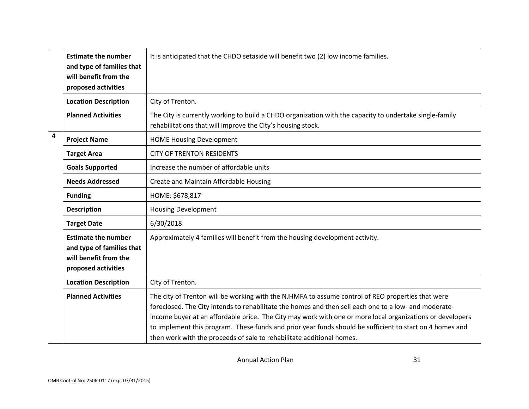|   | <b>Estimate the number</b><br>and type of families that<br>will benefit from the<br>proposed activities | It is anticipated that the CHDO setaside will benefit two (2) low income families.                                                                                                                                                                                                                                                                                                                                                                                                                           |
|---|---------------------------------------------------------------------------------------------------------|--------------------------------------------------------------------------------------------------------------------------------------------------------------------------------------------------------------------------------------------------------------------------------------------------------------------------------------------------------------------------------------------------------------------------------------------------------------------------------------------------------------|
|   | <b>Location Description</b>                                                                             | City of Trenton.                                                                                                                                                                                                                                                                                                                                                                                                                                                                                             |
|   | <b>Planned Activities</b>                                                                               | The City is currently working to build a CHDO organization with the capacity to undertake single-family<br>rehabilitations that will improve the City's housing stock.                                                                                                                                                                                                                                                                                                                                       |
| 4 | <b>Project Name</b>                                                                                     | <b>HOME Housing Development</b>                                                                                                                                                                                                                                                                                                                                                                                                                                                                              |
|   | <b>Target Area</b>                                                                                      | <b>CITY OF TRENTON RESIDENTS</b>                                                                                                                                                                                                                                                                                                                                                                                                                                                                             |
|   | <b>Goals Supported</b>                                                                                  | Increase the number of affordable units                                                                                                                                                                                                                                                                                                                                                                                                                                                                      |
|   | <b>Needs Addressed</b>                                                                                  | Create and Maintain Affordable Housing                                                                                                                                                                                                                                                                                                                                                                                                                                                                       |
|   | <b>Funding</b>                                                                                          | HOME: \$678,817                                                                                                                                                                                                                                                                                                                                                                                                                                                                                              |
|   | <b>Description</b>                                                                                      | <b>Housing Development</b>                                                                                                                                                                                                                                                                                                                                                                                                                                                                                   |
|   | <b>Target Date</b>                                                                                      | 6/30/2018                                                                                                                                                                                                                                                                                                                                                                                                                                                                                                    |
|   | <b>Estimate the number</b><br>and type of families that<br>will benefit from the<br>proposed activities | Approximately 4 families will benefit from the housing development activity.                                                                                                                                                                                                                                                                                                                                                                                                                                 |
|   | <b>Location Description</b>                                                                             | City of Trenton.                                                                                                                                                                                                                                                                                                                                                                                                                                                                                             |
|   | <b>Planned Activities</b>                                                                               | The city of Trenton will be working with the NJHMFA to assume control of REO properties that were<br>foreclosed. The City intends to rehabilitate the homes and then sell each one to a low- and moderate-<br>income buyer at an affordable price. The City may work with one or more local organizations or developers<br>to implement this program. These funds and prior year funds should be sufficient to start on 4 homes and<br>then work with the proceeds of sale to rehabilitate additional homes. |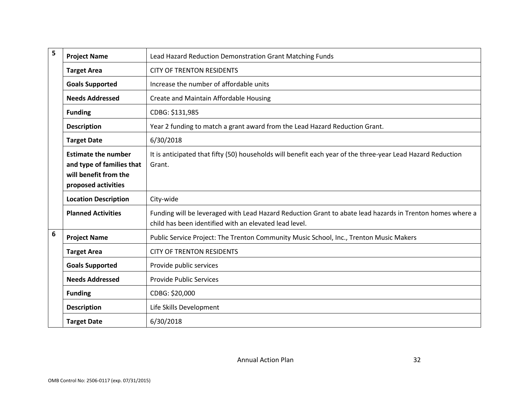| 5 | <b>Project Name</b>                                                                                     | Lead Hazard Reduction Demonstration Grant Matching Funds                                                                                                            |
|---|---------------------------------------------------------------------------------------------------------|---------------------------------------------------------------------------------------------------------------------------------------------------------------------|
|   | <b>Target Area</b>                                                                                      | <b>CITY OF TRENTON RESIDENTS</b>                                                                                                                                    |
|   | <b>Goals Supported</b>                                                                                  | Increase the number of affordable units                                                                                                                             |
|   | <b>Needs Addressed</b>                                                                                  | Create and Maintain Affordable Housing                                                                                                                              |
|   | <b>Funding</b>                                                                                          | CDBG: \$131,985                                                                                                                                                     |
|   | <b>Description</b>                                                                                      | Year 2 funding to match a grant award from the Lead Hazard Reduction Grant.                                                                                         |
|   | <b>Target Date</b>                                                                                      | 6/30/2018                                                                                                                                                           |
|   | <b>Estimate the number</b><br>and type of families that<br>will benefit from the<br>proposed activities | It is anticipated that fifty (50) households will benefit each year of the three-year Lead Hazard Reduction<br>Grant.                                               |
|   | <b>Location Description</b>                                                                             | City-wide                                                                                                                                                           |
|   | <b>Planned Activities</b>                                                                               | Funding will be leveraged with Lead Hazard Reduction Grant to abate lead hazards in Trenton homes where a<br>child has been identified with an elevated lead level. |
| 6 | <b>Project Name</b>                                                                                     | Public Service Project: The Trenton Community Music School, Inc., Trenton Music Makers                                                                              |
|   | <b>Target Area</b>                                                                                      | <b>CITY OF TRENTON RESIDENTS</b>                                                                                                                                    |
|   | <b>Goals Supported</b>                                                                                  | Provide public services                                                                                                                                             |
|   | <b>Needs Addressed</b>                                                                                  | <b>Provide Public Services</b>                                                                                                                                      |
|   | <b>Funding</b>                                                                                          | CDBG: \$20,000                                                                                                                                                      |
|   | <b>Description</b>                                                                                      | Life Skills Development                                                                                                                                             |
|   | <b>Target Date</b>                                                                                      | 6/30/2018                                                                                                                                                           |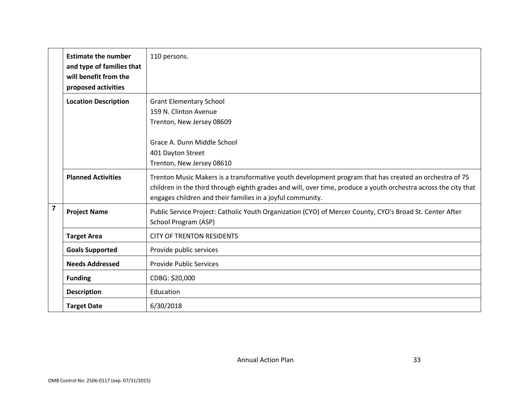|                         | <b>Estimate the number</b><br>and type of families that<br>will benefit from the<br>proposed activities | 110 persons.                                                                                                                                                                                                                                                                            |
|-------------------------|---------------------------------------------------------------------------------------------------------|-----------------------------------------------------------------------------------------------------------------------------------------------------------------------------------------------------------------------------------------------------------------------------------------|
|                         | <b>Location Description</b>                                                                             | <b>Grant Elementary School</b><br>159 N. Clinton Avenue<br>Trenton, New Jersey 08609                                                                                                                                                                                                    |
|                         |                                                                                                         | Grace A. Dunn Middle School<br>401 Dayton Street<br>Trenton, New Jersey 08610                                                                                                                                                                                                           |
|                         | <b>Planned Activities</b>                                                                               | Trenton Music Makers is a transformative youth development program that has created an orchestra of 75<br>children in the third through eighth grades and will, over time, produce a youth orchestra across the city that<br>engages children and their families in a joyful community. |
| $\overline{\mathbf{z}}$ | <b>Project Name</b>                                                                                     | Public Service Project: Catholic Youth Organization (CYO) of Mercer County, CYO's Broad St. Center After<br>School Program (ASP)                                                                                                                                                        |
|                         | <b>Target Area</b>                                                                                      | <b>CITY OF TRENTON RESIDENTS</b>                                                                                                                                                                                                                                                        |
|                         | <b>Goals Supported</b>                                                                                  | Provide public services                                                                                                                                                                                                                                                                 |
|                         | <b>Needs Addressed</b>                                                                                  | <b>Provide Public Services</b>                                                                                                                                                                                                                                                          |
|                         | <b>Funding</b>                                                                                          | CDBG: \$20,000                                                                                                                                                                                                                                                                          |
|                         | <b>Description</b>                                                                                      | Education                                                                                                                                                                                                                                                                               |
|                         | <b>Target Date</b>                                                                                      | 6/30/2018                                                                                                                                                                                                                                                                               |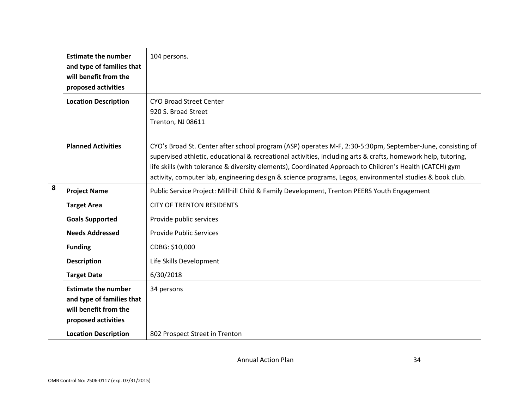|   | <b>Estimate the number</b><br>and type of families that<br>will benefit from the<br>proposed activities | 104 persons.                                                                                                                                                                                                                                                                                                                                                                                                                                        |
|---|---------------------------------------------------------------------------------------------------------|-----------------------------------------------------------------------------------------------------------------------------------------------------------------------------------------------------------------------------------------------------------------------------------------------------------------------------------------------------------------------------------------------------------------------------------------------------|
|   | <b>Location Description</b>                                                                             | <b>CYO Broad Street Center</b><br>920 S. Broad Street<br>Trenton, NJ 08611                                                                                                                                                                                                                                                                                                                                                                          |
|   | <b>Planned Activities</b>                                                                               | CYO's Broad St. Center after school program (ASP) operates M-F, 2:30-5:30pm, September-June, consisting of<br>supervised athletic, educational & recreational activities, including arts & crafts, homework help, tutoring,<br>life skills (with tolerance & diversity elements), Coordinated Approach to Children's Health (CATCH) gym<br>activity, computer lab, engineering design & science programs, Legos, environmental studies & book club. |
| 8 | <b>Project Name</b>                                                                                     | Public Service Project: Millhill Child & Family Development, Trenton PEERS Youth Engagement                                                                                                                                                                                                                                                                                                                                                         |
|   | <b>Target Area</b>                                                                                      | <b>CITY OF TRENTON RESIDENTS</b>                                                                                                                                                                                                                                                                                                                                                                                                                    |
|   | <b>Goals Supported</b>                                                                                  | Provide public services                                                                                                                                                                                                                                                                                                                                                                                                                             |
|   | <b>Needs Addressed</b>                                                                                  | <b>Provide Public Services</b>                                                                                                                                                                                                                                                                                                                                                                                                                      |
|   | <b>Funding</b>                                                                                          | CDBG: \$10,000                                                                                                                                                                                                                                                                                                                                                                                                                                      |
|   | <b>Description</b>                                                                                      | Life Skills Development                                                                                                                                                                                                                                                                                                                                                                                                                             |
|   | <b>Target Date</b>                                                                                      | 6/30/2018                                                                                                                                                                                                                                                                                                                                                                                                                                           |
|   | <b>Estimate the number</b><br>and type of families that<br>will benefit from the<br>proposed activities | 34 persons                                                                                                                                                                                                                                                                                                                                                                                                                                          |
|   | <b>Location Description</b>                                                                             | 802 Prospect Street in Trenton                                                                                                                                                                                                                                                                                                                                                                                                                      |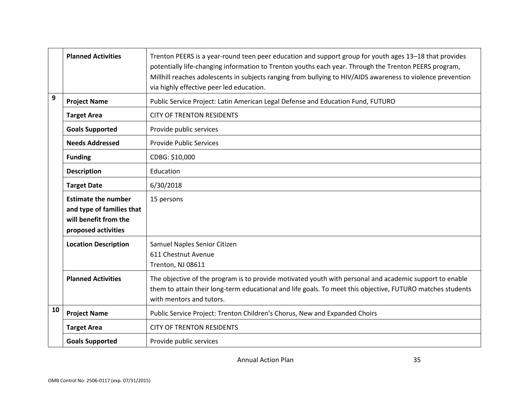|    | <b>Planned Activities</b>                                                                               | Trenton PEERS is a year-round teen peer education and support group for youth ages 13–18 that provides<br>potentially life-changing information to Trenton youths each year. Through the Trenton PEERS program,<br>Millhill reaches adolescents in subjects ranging from bullying to HIV/AIDS awareness to violence prevention<br>via highly effective peer led education. |
|----|---------------------------------------------------------------------------------------------------------|----------------------------------------------------------------------------------------------------------------------------------------------------------------------------------------------------------------------------------------------------------------------------------------------------------------------------------------------------------------------------|
| 9  | <b>Project Name</b>                                                                                     | Public Service Project: Latin American Legal Defense and Education Fund, FUTURO                                                                                                                                                                                                                                                                                            |
|    | <b>Target Area</b>                                                                                      | <b>CITY OF TRENTON RESIDENTS</b>                                                                                                                                                                                                                                                                                                                                           |
|    | <b>Goals Supported</b>                                                                                  | Provide public services                                                                                                                                                                                                                                                                                                                                                    |
|    | <b>Needs Addressed</b>                                                                                  | <b>Provide Public Services</b>                                                                                                                                                                                                                                                                                                                                             |
|    | <b>Funding</b>                                                                                          | CDBG: \$10,000                                                                                                                                                                                                                                                                                                                                                             |
|    | <b>Description</b>                                                                                      | Education                                                                                                                                                                                                                                                                                                                                                                  |
|    | <b>Target Date</b>                                                                                      | 6/30/2018                                                                                                                                                                                                                                                                                                                                                                  |
|    | <b>Estimate the number</b><br>and type of families that<br>will benefit from the<br>proposed activities | 15 persons                                                                                                                                                                                                                                                                                                                                                                 |
|    | <b>Location Description</b>                                                                             | Samuel Naples Senior Citizen<br>611 Chestnut Avenue<br>Trenton, NJ 08611                                                                                                                                                                                                                                                                                                   |
|    | <b>Planned Activities</b>                                                                               | The objective of the program is to provide motivated youth with personal and academic support to enable<br>them to attain their long-term educational and life goals. To meet this objective, FUTURO matches students<br>with mentors and tutors.                                                                                                                          |
| 10 | <b>Project Name</b>                                                                                     | Public Service Project: Trenton Children's Chorus, New and Expanded Choirs                                                                                                                                                                                                                                                                                                 |
|    | <b>Target Area</b>                                                                                      | <b>CITY OF TRENTON RESIDENTS</b>                                                                                                                                                                                                                                                                                                                                           |
|    | <b>Goals Supported</b>                                                                                  | Provide public services                                                                                                                                                                                                                                                                                                                                                    |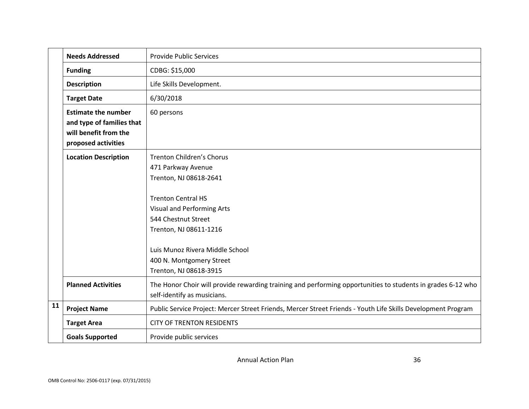|    | <b>Needs Addressed</b>                                                                                  | <b>Provide Public Services</b>                                                                                                             |
|----|---------------------------------------------------------------------------------------------------------|--------------------------------------------------------------------------------------------------------------------------------------------|
|    | <b>Funding</b>                                                                                          | CDBG: \$15,000                                                                                                                             |
|    | <b>Description</b>                                                                                      | Life Skills Development.                                                                                                                   |
|    | <b>Target Date</b>                                                                                      | 6/30/2018                                                                                                                                  |
|    | <b>Estimate the number</b><br>and type of families that<br>will benefit from the<br>proposed activities | 60 persons                                                                                                                                 |
|    | <b>Location Description</b>                                                                             | Trenton Children's Chorus<br>471 Parkway Avenue<br>Trenton, NJ 08618-2641                                                                  |
|    |                                                                                                         | <b>Trenton Central HS</b><br>Visual and Performing Arts<br>544 Chestnut Street<br>Trenton, NJ 08611-1216                                   |
|    |                                                                                                         | Luis Munoz Rivera Middle School<br>400 N. Montgomery Street<br>Trenton, NJ 08618-3915                                                      |
|    | <b>Planned Activities</b>                                                                               | The Honor Choir will provide rewarding training and performing opportunities to students in grades 6-12 who<br>self-identify as musicians. |
| 11 | <b>Project Name</b>                                                                                     | Public Service Project: Mercer Street Friends, Mercer Street Friends - Youth Life Skills Development Program                               |
|    | <b>Target Area</b>                                                                                      | <b>CITY OF TRENTON RESIDENTS</b>                                                                                                           |
|    | <b>Goals Supported</b>                                                                                  | Provide public services                                                                                                                    |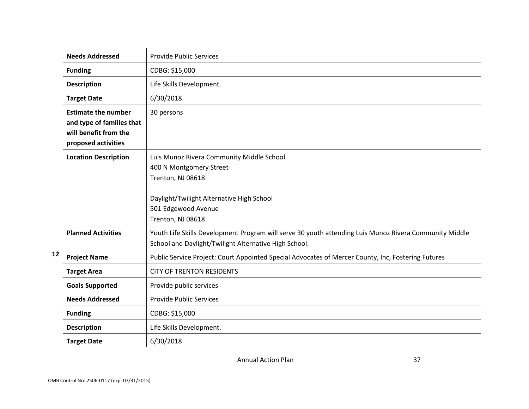|    | <b>Needs Addressed</b>                                                                                  | <b>Provide Public Services</b>                                                                                                                                  |
|----|---------------------------------------------------------------------------------------------------------|-----------------------------------------------------------------------------------------------------------------------------------------------------------------|
|    | <b>Funding</b>                                                                                          | CDBG: \$15,000                                                                                                                                                  |
|    | <b>Description</b>                                                                                      | Life Skills Development.                                                                                                                                        |
|    | <b>Target Date</b>                                                                                      | 6/30/2018                                                                                                                                                       |
|    | <b>Estimate the number</b><br>and type of families that<br>will benefit from the<br>proposed activities | 30 persons                                                                                                                                                      |
|    | <b>Location Description</b>                                                                             | Luis Munoz Rivera Community Middle School<br>400 N Montgomery Street<br>Trenton, NJ 08618                                                                       |
|    |                                                                                                         | Daylight/Twilight Alternative High School<br>501 Edgewood Avenue<br>Trenton, NJ 08618                                                                           |
|    | <b>Planned Activities</b>                                                                               | Youth Life Skills Development Program will serve 30 youth attending Luis Munoz Rivera Community Middle<br>School and Daylight/Twilight Alternative High School. |
| 12 | <b>Project Name</b>                                                                                     | Public Service Project: Court Appointed Special Advocates of Mercer County, Inc, Fostering Futures                                                              |
|    | <b>Target Area</b>                                                                                      | <b>CITY OF TRENTON RESIDENTS</b>                                                                                                                                |
|    | <b>Goals Supported</b>                                                                                  | Provide public services                                                                                                                                         |
|    | <b>Needs Addressed</b>                                                                                  | <b>Provide Public Services</b>                                                                                                                                  |
|    | <b>Funding</b>                                                                                          | CDBG: \$15,000                                                                                                                                                  |
|    | <b>Description</b>                                                                                      | Life Skills Development.                                                                                                                                        |
|    | <b>Target Date</b>                                                                                      | 6/30/2018                                                                                                                                                       |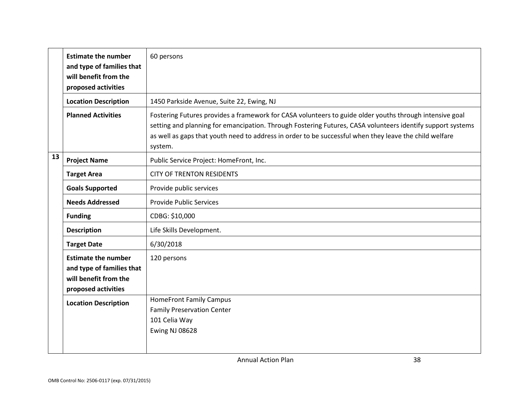|    | <b>Estimate the number</b><br>and type of families that<br>will benefit from the<br>proposed activities | 60 persons                                                                                                                                                                                                                                                                                                                                 |
|----|---------------------------------------------------------------------------------------------------------|--------------------------------------------------------------------------------------------------------------------------------------------------------------------------------------------------------------------------------------------------------------------------------------------------------------------------------------------|
|    | <b>Location Description</b>                                                                             | 1450 Parkside Avenue, Suite 22, Ewing, NJ                                                                                                                                                                                                                                                                                                  |
|    | <b>Planned Activities</b>                                                                               | Fostering Futures provides a framework for CASA volunteers to guide older youths through intensive goal<br>setting and planning for emancipation. Through Fostering Futures, CASA volunteers identify support systems<br>as well as gaps that youth need to address in order to be successful when they leave the child welfare<br>system. |
| 13 | <b>Project Name</b>                                                                                     | Public Service Project: HomeFront, Inc.                                                                                                                                                                                                                                                                                                    |
|    | <b>Target Area</b>                                                                                      | <b>CITY OF TRENTON RESIDENTS</b>                                                                                                                                                                                                                                                                                                           |
|    | <b>Goals Supported</b>                                                                                  | Provide public services                                                                                                                                                                                                                                                                                                                    |
|    | <b>Needs Addressed</b>                                                                                  | <b>Provide Public Services</b>                                                                                                                                                                                                                                                                                                             |
|    | <b>Funding</b>                                                                                          | CDBG: \$10,000                                                                                                                                                                                                                                                                                                                             |
|    | <b>Description</b>                                                                                      | Life Skills Development.                                                                                                                                                                                                                                                                                                                   |
|    | <b>Target Date</b>                                                                                      | 6/30/2018                                                                                                                                                                                                                                                                                                                                  |
|    | <b>Estimate the number</b><br>and type of families that<br>will benefit from the<br>proposed activities | 120 persons                                                                                                                                                                                                                                                                                                                                |
|    | <b>Location Description</b>                                                                             | <b>HomeFront Family Campus</b><br><b>Family Preservation Center</b><br>101 Celia Way<br><b>Ewing NJ 08628</b>                                                                                                                                                                                                                              |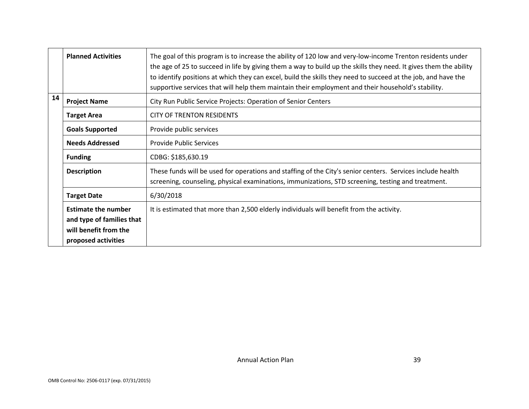|    | <b>Planned Activities</b>                                                                               | The goal of this program is to increase the ability of 120 low and very-low-income Trenton residents under<br>the age of 25 to succeed in life by giving them a way to build up the skills they need. It gives them the ability<br>to identify positions at which they can excel, build the skills they need to succeed at the job, and have the<br>supportive services that will help them maintain their employment and their household's stability. |
|----|---------------------------------------------------------------------------------------------------------|--------------------------------------------------------------------------------------------------------------------------------------------------------------------------------------------------------------------------------------------------------------------------------------------------------------------------------------------------------------------------------------------------------------------------------------------------------|
| 14 | <b>Project Name</b>                                                                                     | City Run Public Service Projects: Operation of Senior Centers                                                                                                                                                                                                                                                                                                                                                                                          |
|    | <b>Target Area</b>                                                                                      | <b>CITY OF TRENTON RESIDENTS</b>                                                                                                                                                                                                                                                                                                                                                                                                                       |
|    | <b>Goals Supported</b>                                                                                  | Provide public services                                                                                                                                                                                                                                                                                                                                                                                                                                |
|    | <b>Needs Addressed</b>                                                                                  | <b>Provide Public Services</b>                                                                                                                                                                                                                                                                                                                                                                                                                         |
|    | <b>Funding</b>                                                                                          | CDBG: \$185,630.19                                                                                                                                                                                                                                                                                                                                                                                                                                     |
|    | <b>Description</b>                                                                                      | These funds will be used for operations and staffing of the City's senior centers. Services include health<br>screening, counseling, physical examinations, immunizations, STD screening, testing and treatment.                                                                                                                                                                                                                                       |
|    | <b>Target Date</b>                                                                                      | 6/30/2018                                                                                                                                                                                                                                                                                                                                                                                                                                              |
|    | <b>Estimate the number</b><br>and type of families that<br>will benefit from the<br>proposed activities | It is estimated that more than 2,500 elderly individuals will benefit from the activity.                                                                                                                                                                                                                                                                                                                                                               |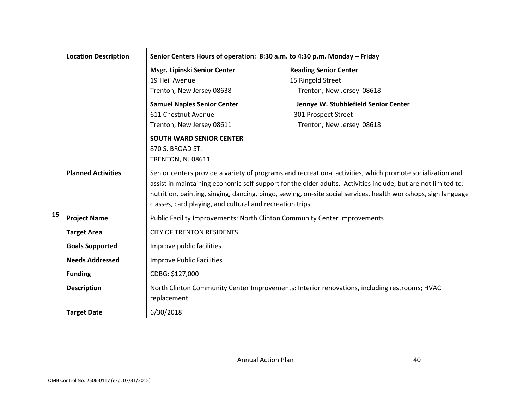|    | <b>Location Description</b> | Senior Centers Hours of operation: 8:30 a.m. to 4:30 p.m. Monday - Friday |                                                                                                                                                                                                                                                                                                                                              |
|----|-----------------------------|---------------------------------------------------------------------------|----------------------------------------------------------------------------------------------------------------------------------------------------------------------------------------------------------------------------------------------------------------------------------------------------------------------------------------------|
|    |                             | Msgr. Lipinski Senior Center                                              | <b>Reading Senior Center</b>                                                                                                                                                                                                                                                                                                                 |
|    |                             | 19 Heil Avenue                                                            | 15 Ringold Street                                                                                                                                                                                                                                                                                                                            |
|    |                             | Trenton, New Jersey 08638                                                 | Trenton, New Jersey 08618                                                                                                                                                                                                                                                                                                                    |
|    |                             | <b>Samuel Naples Senior Center</b>                                        | Jennye W. Stubblefield Senior Center                                                                                                                                                                                                                                                                                                         |
|    |                             | 611 Chestnut Avenue                                                       | 301 Prospect Street                                                                                                                                                                                                                                                                                                                          |
|    |                             | Trenton, New Jersey 08611                                                 | Trenton, New Jersey 08618                                                                                                                                                                                                                                                                                                                    |
|    |                             | <b>SOUTH WARD SENIOR CENTER</b>                                           |                                                                                                                                                                                                                                                                                                                                              |
|    |                             | 870 S. BROAD ST.                                                          |                                                                                                                                                                                                                                                                                                                                              |
|    |                             | <b>TRENTON, NJ 08611</b>                                                  |                                                                                                                                                                                                                                                                                                                                              |
|    | <b>Planned Activities</b>   | classes, card playing, and cultural and recreation trips.                 | Senior centers provide a variety of programs and recreational activities, which promote socialization and<br>assist in maintaining economic self-support for the older adults. Activities include, but are not limited to:<br>nutrition, painting, singing, dancing, bingo, sewing, on-site social services, health workshops, sign language |
| 15 | <b>Project Name</b>         | Public Facility Improvements: North Clinton Community Center Improvements |                                                                                                                                                                                                                                                                                                                                              |
|    | <b>Target Area</b>          | <b>CITY OF TRENTON RESIDENTS</b>                                          |                                                                                                                                                                                                                                                                                                                                              |
|    | <b>Goals Supported</b>      | Improve public facilities                                                 |                                                                                                                                                                                                                                                                                                                                              |
|    | <b>Needs Addressed</b>      | <b>Improve Public Facilities</b>                                          |                                                                                                                                                                                                                                                                                                                                              |
|    | <b>Funding</b>              | CDBG: \$127,000                                                           |                                                                                                                                                                                                                                                                                                                                              |
|    | <b>Description</b>          | replacement.                                                              | North Clinton Community Center Improvements: Interior renovations, including restrooms; HVAC                                                                                                                                                                                                                                                 |
|    | <b>Target Date</b>          | 6/30/2018                                                                 |                                                                                                                                                                                                                                                                                                                                              |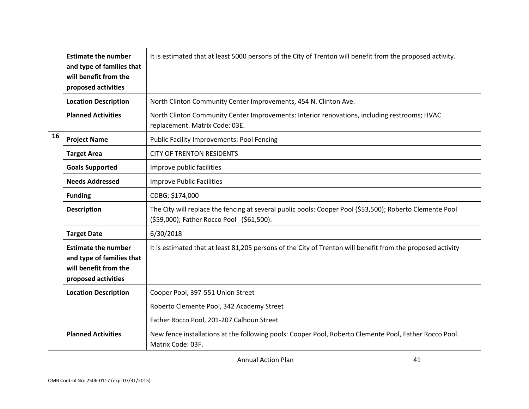|    | <b>Estimate the number</b><br>and type of families that<br>will benefit from the<br>proposed activities | It is estimated that at least 5000 persons of the City of Trenton will benefit from the proposed activity.                                            |
|----|---------------------------------------------------------------------------------------------------------|-------------------------------------------------------------------------------------------------------------------------------------------------------|
|    | <b>Location Description</b>                                                                             | North Clinton Community Center Improvements, 454 N. Clinton Ave.                                                                                      |
|    | <b>Planned Activities</b>                                                                               | North Clinton Community Center Improvements: Interior renovations, including restrooms; HVAC<br>replacement. Matrix Code: 03E.                        |
| 16 | <b>Project Name</b>                                                                                     | <b>Public Facility Improvements: Pool Fencing</b>                                                                                                     |
|    | <b>Target Area</b>                                                                                      | <b>CITY OF TRENTON RESIDENTS</b>                                                                                                                      |
|    | <b>Goals Supported</b>                                                                                  | Improve public facilities                                                                                                                             |
|    | <b>Needs Addressed</b>                                                                                  | <b>Improve Public Facilities</b>                                                                                                                      |
|    | <b>Funding</b>                                                                                          | CDBG: \$174,000                                                                                                                                       |
|    | <b>Description</b>                                                                                      | The City will replace the fencing at several public pools: Cooper Pool (\$53,500); Roberto Clemente Pool<br>(\$59,000); Father Rocco Pool (\$61,500). |
|    | <b>Target Date</b>                                                                                      | 6/30/2018                                                                                                                                             |
|    | <b>Estimate the number</b><br>and type of families that<br>will benefit from the<br>proposed activities | It is estimated that at least 81,205 persons of the City of Trenton will benefit from the proposed activity                                           |
|    | <b>Location Description</b>                                                                             | Cooper Pool, 397-551 Union Street                                                                                                                     |
|    |                                                                                                         | Roberto Clemente Pool, 342 Academy Street                                                                                                             |
|    |                                                                                                         | Father Rocco Pool, 201-207 Calhoun Street                                                                                                             |
|    | <b>Planned Activities</b>                                                                               | New fence installations at the following pools: Cooper Pool, Roberto Clemente Pool, Father Rocco Pool.<br>Matrix Code: 03F.                           |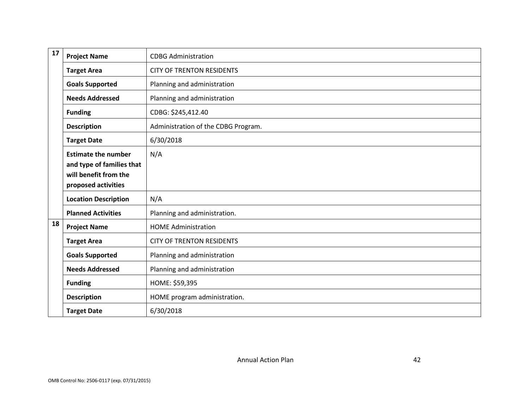| 17 | <b>Project Name</b>                                                                                     | <b>CDBG Administration</b>          |
|----|---------------------------------------------------------------------------------------------------------|-------------------------------------|
|    | <b>Target Area</b>                                                                                      | <b>CITY OF TRENTON RESIDENTS</b>    |
|    | <b>Goals Supported</b>                                                                                  | Planning and administration         |
|    | <b>Needs Addressed</b>                                                                                  | Planning and administration         |
|    | <b>Funding</b>                                                                                          | CDBG: \$245,412.40                  |
|    | <b>Description</b>                                                                                      | Administration of the CDBG Program. |
|    | <b>Target Date</b>                                                                                      | 6/30/2018                           |
|    | <b>Estimate the number</b><br>and type of families that<br>will benefit from the<br>proposed activities | N/A                                 |
|    | <b>Location Description</b>                                                                             | N/A                                 |
|    | <b>Planned Activities</b>                                                                               | Planning and administration.        |
| 18 | <b>Project Name</b>                                                                                     | <b>HOME Administration</b>          |
|    | <b>Target Area</b>                                                                                      | <b>CITY OF TRENTON RESIDENTS</b>    |
|    | <b>Goals Supported</b>                                                                                  | Planning and administration         |
|    | <b>Needs Addressed</b>                                                                                  | Planning and administration         |
|    | <b>Funding</b>                                                                                          | HOME: \$59,395                      |
|    | <b>Description</b>                                                                                      | HOME program administration.        |
|    | <b>Target Date</b>                                                                                      | 6/30/2018                           |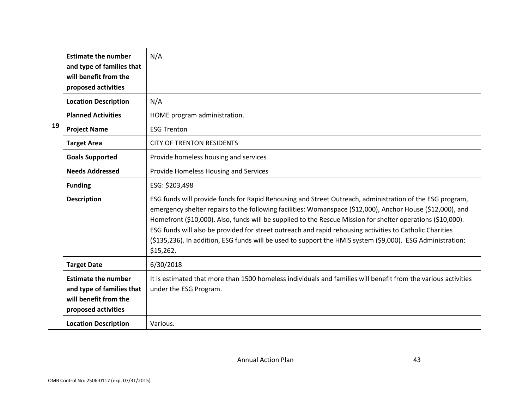|    | <b>Estimate the number</b><br>and type of families that<br>will benefit from the<br>proposed activities | N/A                                                                                                                                                                                                                                                                                                                                                                                                                                                                                                                                                                          |
|----|---------------------------------------------------------------------------------------------------------|------------------------------------------------------------------------------------------------------------------------------------------------------------------------------------------------------------------------------------------------------------------------------------------------------------------------------------------------------------------------------------------------------------------------------------------------------------------------------------------------------------------------------------------------------------------------------|
|    | <b>Location Description</b>                                                                             | N/A                                                                                                                                                                                                                                                                                                                                                                                                                                                                                                                                                                          |
|    | <b>Planned Activities</b>                                                                               | HOME program administration.                                                                                                                                                                                                                                                                                                                                                                                                                                                                                                                                                 |
| 19 | <b>Project Name</b>                                                                                     | <b>ESG Trenton</b>                                                                                                                                                                                                                                                                                                                                                                                                                                                                                                                                                           |
|    | <b>Target Area</b>                                                                                      | <b>CITY OF TRENTON RESIDENTS</b>                                                                                                                                                                                                                                                                                                                                                                                                                                                                                                                                             |
|    | <b>Goals Supported</b>                                                                                  | Provide homeless housing and services                                                                                                                                                                                                                                                                                                                                                                                                                                                                                                                                        |
|    | <b>Needs Addressed</b>                                                                                  | Provide Homeless Housing and Services                                                                                                                                                                                                                                                                                                                                                                                                                                                                                                                                        |
|    | <b>Funding</b>                                                                                          | ESG: \$203,498                                                                                                                                                                                                                                                                                                                                                                                                                                                                                                                                                               |
|    | <b>Description</b>                                                                                      | ESG funds will provide funds for Rapid Rehousing and Street Outreach, administration of the ESG program,<br>emergency shelter repairs to the following facilities: Womanspace (\$12,000), Anchor House (\$12,000), and<br>Homefront (\$10,000). Also, funds will be supplied to the Rescue Mission for shelter operations (\$10,000).<br>ESG funds will also be provided for street outreach and rapid rehousing activities to Catholic Charities<br>(\$135,236). In addition, ESG funds will be used to support the HMIS system (\$9,000). ESG Administration:<br>\$15,262. |
|    | <b>Target Date</b>                                                                                      | 6/30/2018                                                                                                                                                                                                                                                                                                                                                                                                                                                                                                                                                                    |
|    | <b>Estimate the number</b><br>and type of families that<br>will benefit from the<br>proposed activities | It is estimated that more than 1500 homeless individuals and families will benefit from the various activities<br>under the ESG Program.                                                                                                                                                                                                                                                                                                                                                                                                                                     |
|    | <b>Location Description</b>                                                                             | Various.                                                                                                                                                                                                                                                                                                                                                                                                                                                                                                                                                                     |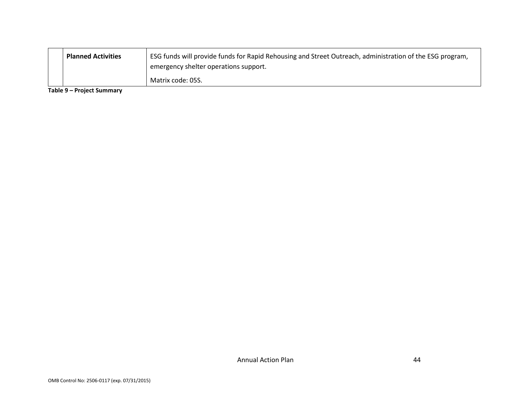| <b>Planned Activities</b> | ESG funds will provide funds for Rapid Rehousing and Street Outreach, administration of the ESG program,<br>emergency shelter operations support. |
|---------------------------|---------------------------------------------------------------------------------------------------------------------------------------------------|
|                           | Matrix code: 05S.                                                                                                                                 |

**Table 9 – Project Summary**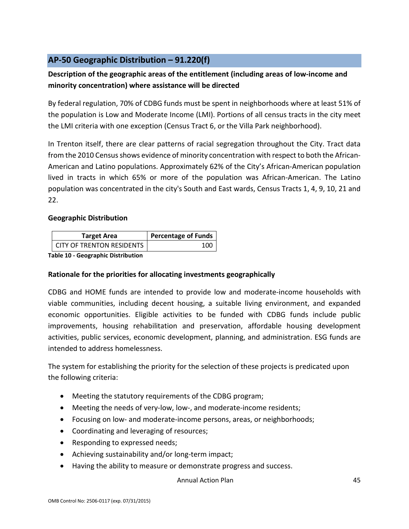# <span id="page-45-0"></span>**AP-50 Geographic Distribution – 91.220(f)**

# **Description of the geographic areas of the entitlement (including areas of low-income and minority concentration) where assistance will be directed**

By federal regulation, 70% of CDBG funds must be spent in neighborhoods where at least 51% of the population is Low and Moderate Income (LMI). Portions of all census tracts in the city meet the LMI criteria with one exception (Census Tract 6, or the Villa Park neighborhood).

In Trenton itself, there are clear patterns of racial segregation throughout the City. Tract data from the 2010 Census shows evidence of minority concentration with respect to both the African-American and Latino populations. Approximately 62% of the City's African-American population lived in tracts in which 65% or more of the population was African-American. The Latino population was concentrated in the city's South and East wards, Census Tracts 1, 4, 9, 10, 21 and 22.

### **Geographic Distribution**

| <b>Target Area</b>               | <b>Percentage of Funds</b> |
|----------------------------------|----------------------------|
| <b>CITY OF TRENTON RESIDENTS</b> | 100                        |

**Table 10 - Geographic Distribution** 

### **Rationale for the priorities for allocating investments geographically**

CDBG and HOME funds are intended to provide low and moderate-income households with viable communities, including decent housing, a suitable living environment, and expanded economic opportunities. Eligible activities to be funded with CDBG funds include public improvements, housing rehabilitation and preservation, affordable housing development activities, public services, economic development, planning, and administration. ESG funds are intended to address homelessness.

The system for establishing the priority for the selection of these projects is predicated upon the following criteria:

- Meeting the statutory requirements of the CDBG program;
- Meeting the needs of very-low, low-, and moderate-income residents;
- Focusing on low- and moderate-income persons, areas, or neighborhoods;
- Coordinating and leveraging of resources;
- Responding to expressed needs;
- Achieving sustainability and/or long-term impact;
- Having the ability to measure or demonstrate progress and success.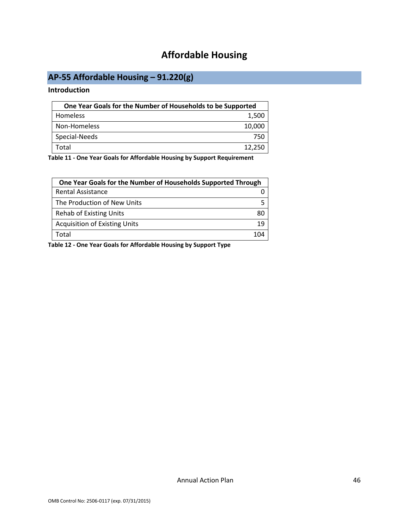# **Affordable Housing**

# <span id="page-46-1"></span><span id="page-46-0"></span>**AP-55 Affordable Housing – 91.220(g)**

### **Introduction**

| One Year Goals for the Number of Households to be Supported |        |
|-------------------------------------------------------------|--------|
| Homeless                                                    | 1,500  |
| Non-Homeless                                                | 10,000 |
| Special-Needs                                               | 750    |
| Total                                                       | 12,250 |

**Table 11 - One Year Goals for Affordable Housing by Support Requirement**

| One Year Goals for the Number of Households Supported Through |       |
|---------------------------------------------------------------|-------|
| Rental Assistance                                             |       |
| The Production of New Units                                   |       |
| <b>Rehab of Existing Units</b>                                | 80    |
| <b>Acquisition of Existing Units</b>                          | 19    |
| Total                                                         | 1 N 4 |

**Table 12 - One Year Goals for Affordable Housing by Support Type**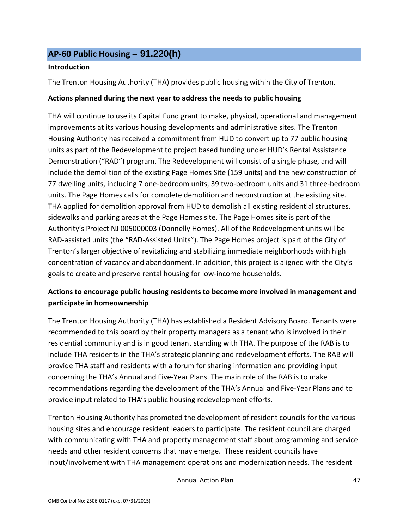# <span id="page-47-0"></span>**AP-60 Public Housing** *–* **91.220(h)**

### **Introduction**

The Trenton Housing Authority (THA) provides public housing within the City of Trenton.

### **Actions planned during the next year to address the needs to public housing**

THA will continue to use its Capital Fund grant to make, physical, operational and management improvements at its various housing developments and administrative sites. The Trenton Housing Authority has received a commitment from HUD to convert up to 77 public housing units as part of the Redevelopment to project based funding under HUD's Rental Assistance Demonstration ("RAD") program. The Redevelopment will consist of a single phase, and will include the demolition of the existing Page Homes Site (159 units) and the new construction of 77 dwelling units, including 7 one-bedroom units, 39 two-bedroom units and 31 three-bedroom units. The Page Homes calls for complete demolition and reconstruction at the existing site. THA applied for demolition approval from HUD to demolish all existing residential structures, sidewalks and parking areas at the Page Homes site. The Page Homes site is part of the Authority's Project NJ 005000003 (Donnelly Homes). All of the Redevelopment units will be RAD-assisted units (the "RAD-Assisted Units"). The Page Homes project is part of the City of Trenton's larger objective of revitalizing and stabilizing immediate neighborhoods with high concentration of vacancy and abandonment. In addition, this project is aligned with the City's goals to create and preserve rental housing for low-income households.

# **Actions to encourage public housing residents to become more involved in management and participate in homeownership**

The Trenton Housing Authority (THA) has established a Resident Advisory Board. Tenants were recommended to this board by their property managers as a tenant who is involved in their residential community and is in good tenant standing with THA. The purpose of the RAB is to include THA residents in the THA's strategic planning and redevelopment efforts. The RAB will provide THA staff and residents with a forum for sharing information and providing input concerning the THA's Annual and Five-Year Plans. The main role of the RAB is to make recommendations regarding the development of the THA's Annual and Five-Year Plans and to provide input related to THA's public housing redevelopment efforts.

Trenton Housing Authority has promoted the development of resident councils for the various housing sites and encourage resident leaders to participate. The resident council are charged with communicating with THA and property management staff about programming and service needs and other resident concerns that may emerge. These resident councils have input/involvement with THA management operations and modernization needs. The resident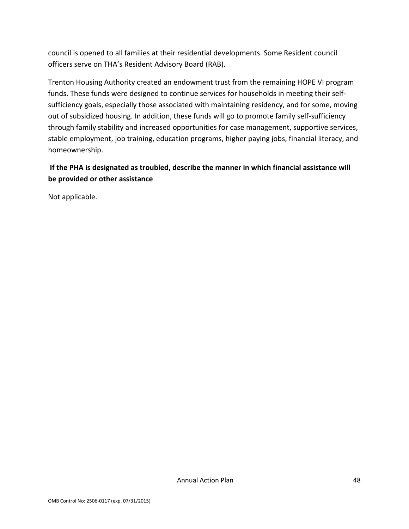council is opened to all families at their residential developments. Some Resident council officers serve on THA's Resident Advisory Board (RAB).

Trenton Housing Authority created an endowment trust from the remaining HOPE VI program funds. These funds were designed to continue services for households in meeting their selfsufficiency goals, especially those associated with maintaining residency, and for some, moving out of subsidized housing. In addition, these funds will go to promote family self-sufficiency through family stability and increased opportunities for case management, supportive services, stable employment, job training, education programs, higher paying jobs, financial literacy, and homeownership.

### **If the PHA is designated as troubled, describe the manner in which financial assistance will be provided or other assistance**

Not applicable.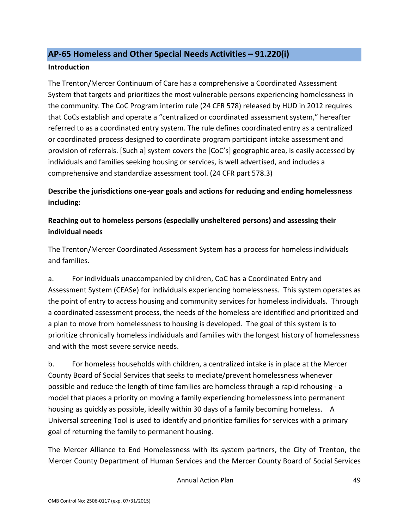## <span id="page-49-0"></span>**AP-65 Homeless and Other Special Needs Activities – 91.220(i)**

### **Introduction**

The Trenton/Mercer Continuum of Care has a comprehensive a Coordinated Assessment System that targets and prioritizes the most vulnerable persons experiencing homelessness in the community. The CoC Program interim rule (24 CFR 578) released by HUD in 2012 requires that CoCs establish and operate a "centralized or coordinated assessment system," hereafter referred to as a coordinated entry system. The rule defines coordinated entry as a centralized or coordinated process designed to coordinate program participant intake assessment and provision of referrals. [Such a] system covers the [CoC's] geographic area, is easily accessed by individuals and families seeking housing or services, is well advertised, and includes a comprehensive and standardize assessment tool. (24 CFR part 578.3)

**Describe the jurisdictions one-year goals and actions for reducing and ending homelessness including:**

# **Reaching out to homeless persons (especially unsheltered persons) and assessing their individual needs**

The Trenton/Mercer Coordinated Assessment System has a process for homeless individuals and families.

a. For individuals unaccompanied by children, CoC has a Coordinated Entry and Assessment System (CEASe) for individuals experiencing homelessness. This system operates as the point of entry to access housing and community services for homeless individuals. Through a coordinated assessment process, the needs of the homeless are identified and prioritized and a plan to move from homelessness to housing is developed. The goal of this system is to prioritize chronically homeless individuals and families with the longest history of homelessness and with the most severe service needs.

b. For homeless households with children, a centralized intake is in place at the Mercer County Board of Social Services that seeks to mediate/prevent homelessness whenever possible and reduce the length of time families are homeless through a rapid rehousing - a model that places a priority on moving a family experiencing homelessness into permanent housing as quickly as possible, ideally within 30 days of a family becoming homeless. A Universal screening Tool is used to identify and prioritize families for services with a primary goal of returning the family to permanent housing.

The Mercer Alliance to End Homelessness with its system partners, the City of Trenton, the Mercer County Department of Human Services and the Mercer County Board of Social Services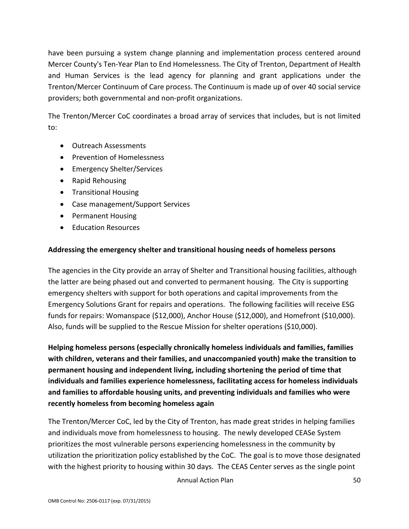have been pursuing a system change planning and implementation process centered around Mercer County's Ten-Year Plan to End Homelessness. The City of Trenton, Department of Health and Human Services is the lead agency for planning and grant applications under the Trenton/Mercer Continuum of Care process. The Continuum is made up of over 40 social service providers; both governmental and non-profit organizations.

The Trenton/Mercer CoC coordinates a broad array of services that includes, but is not limited to:

- Outreach Assessments
- Prevention of Homelessness
- Emergency Shelter/Services
- Rapid Rehousing
- Transitional Housing
- Case management/Support Services
- Permanent Housing
- Education Resources

### **Addressing the emergency shelter and transitional housing needs of homeless persons**

The agencies in the City provide an array of Shelter and Transitional housing facilities, although the latter are being phased out and converted to permanent housing. The City is supporting emergency shelters with support for both operations and capital improvements from the Emergency Solutions Grant for repairs and operations. The following facilities will receive ESG funds for repairs: Womanspace (\$12,000), Anchor House (\$12,000), and Homefront (\$10,000). Also, funds will be supplied to the Rescue Mission for shelter operations (\$10,000).

**Helping homeless persons (especially chronically homeless individuals and families, families with children, veterans and their families, and unaccompanied youth) make the transition to permanent housing and independent living, including shortening the period of time that individuals and families experience homelessness, facilitating access for homeless individuals and families to affordable housing units, and preventing individuals and families who were recently homeless from becoming homeless again**

The Trenton/Mercer CoC, led by the City of Trenton, has made great strides in helping families and individuals move from homelessness to housing. The newly developed CEASe System prioritizes the most vulnerable persons experiencing homelessness in the community by utilization the prioritization policy established by the CoC. The goal is to move those designated with the highest priority to housing within 30 days. The CEAS Center serves as the single point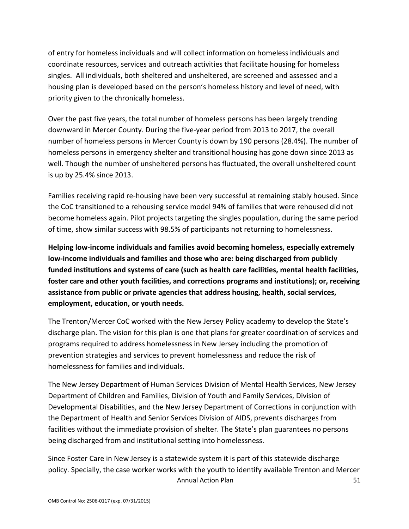of entry for homeless individuals and will collect information on homeless individuals and coordinate resources, services and outreach activities that facilitate housing for homeless singles. All individuals, both sheltered and unsheltered, are screened and assessed and a housing plan is developed based on the person's homeless history and level of need, with priority given to the chronically homeless.

Over the past five years, the total number of homeless persons has been largely trending downward in Mercer County. During the five-year period from 2013 to 2017, the overall number of homeless persons in Mercer County is down by 190 persons (28.4%). The number of homeless persons in emergency shelter and transitional housing has gone down since 2013 as well. Though the number of unsheltered persons has fluctuated, the overall unsheltered count is up by 25.4% since 2013.

Families receiving rapid re-housing have been very successful at remaining stably housed. Since the CoC transitioned to a rehousing service model 94% of families that were rehoused did not become homeless again. Pilot projects targeting the singles population, during the same period of time, show similar success with 98.5% of participants not returning to homelessness.

**Helping low-income individuals and families avoid becoming homeless, especially extremely low-income individuals and families and those who are: being discharged from publicly funded institutions and systems of care (such as health care facilities, mental health facilities, foster care and other youth facilities, and corrections programs and institutions); or, receiving assistance from public or private agencies that address housing, health, social services, employment, education, or youth needs.**

The Trenton/Mercer CoC worked with the New Jersey Policy academy to develop the State's discharge plan. The vision for this plan is one that plans for greater coordination of services and programs required to address homelessness in New Jersey including the promotion of prevention strategies and services to prevent homelessness and reduce the risk of homelessness for families and individuals.

The New Jersey Department of Human Services Division of Mental Health Services, New Jersey Department of Children and Families, Division of Youth and Family Services, Division of Developmental Disabilities, and the New Jersey Department of Corrections in conjunction with the Department of Health and Senior Services Division of AIDS, prevents discharges from facilities without the immediate provision of shelter. The State's plan guarantees no persons being discharged from and institutional setting into homelessness.

Annual Action Plan 51 Since Foster Care in New Jersey is a statewide system it is part of this statewide discharge policy. Specially, the case worker works with the youth to identify available Trenton and Mercer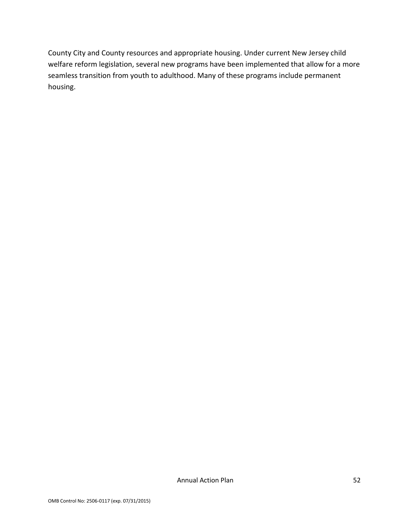County City and County resources and appropriate housing. Under current New Jersey child welfare reform legislation, several new programs have been implemented that allow for a more seamless transition from youth to adulthood. Many of these programs include permanent housing.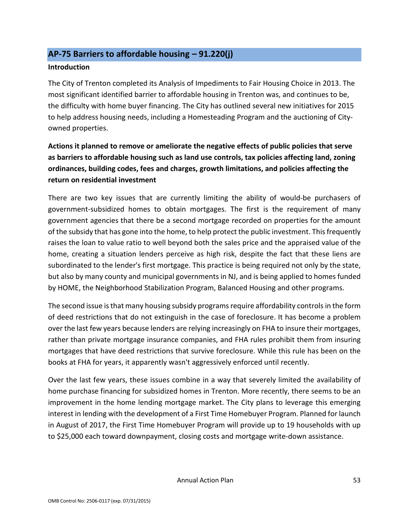## <span id="page-53-0"></span>**AP-75 Barriers to affordable housing – 91.220(j)**

### **Introduction**

The City of Trenton completed its Analysis of Impediments to Fair Housing Choice in 2013. The most significant identified barrier to affordable housing in Trenton was, and continues to be, the difficulty with home buyer financing. The City has outlined several new initiatives for 2015 to help address housing needs, including a Homesteading Program and the auctioning of Cityowned properties.

# **Actions it planned to remove or ameliorate the negative effects of public policies that serve as barriers to affordable housing such as land use controls, tax policies affecting land, zoning ordinances, building codes, fees and charges, growth limitations, and policies affecting the return on residential investment**

There are two key issues that are currently limiting the ability of would-be purchasers of government-subsidized homes to obtain mortgages. The first is the requirement of many government agencies that there be a second mortgage recorded on properties for the amount of the subsidy that has gone into the home, to help protect the public investment. This frequently raises the loan to value ratio to well beyond both the sales price and the appraised value of the home, creating a situation lenders perceive as high risk, despite the fact that these liens are subordinated to the lender's first mortgage. This practice is being required not only by the state, but also by many county and municipal governments in NJ, and is being applied to homes funded by HOME, the Neighborhood Stabilization Program, Balanced Housing and other programs.

The second issue is that many housing subsidy programs require affordability controls in the form of deed restrictions that do not extinguish in the case of foreclosure. It has become a problem over the last few years because lenders are relying increasingly on FHA to insure their mortgages, rather than private mortgage insurance companies, and FHA rules prohibit them from insuring mortgages that have deed restrictions that survive foreclosure. While this rule has been on the books at FHA for years, it apparently wasn't aggressively enforced until recently.

Over the last few years, these issues combine in a way that severely limited the availability of home purchase financing for subsidized homes in Trenton. More recently, there seems to be an improvement in the home lending mortgage market. The City plans to leverage this emerging interest in lending with the development of a First Time Homebuyer Program. Planned for launch in August of 2017, the First Time Homebuyer Program will provide up to 19 households with up to \$25,000 each toward downpayment, closing costs and mortgage write-down assistance.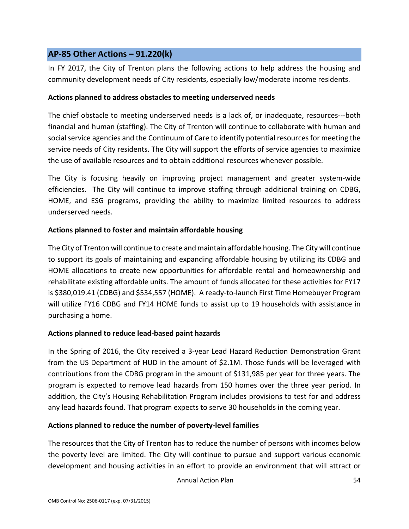## <span id="page-54-0"></span>**AP-85 Other Actions – 91.220(k)**

In FY 2017, the City of Trenton plans the following actions to help address the housing and community development needs of City residents, especially low/moderate income residents.

### **Actions planned to address obstacles to meeting underserved needs**

The chief obstacle to meeting underserved needs is a lack of, or inadequate, resources---both financial and human (staffing). The City of Trenton will continue to collaborate with human and social service agencies and the Continuum of Care to identify potential resources for meeting the service needs of City residents. The City will support the efforts of service agencies to maximize the use of available resources and to obtain additional resources whenever possible.

The City is focusing heavily on improving project management and greater system-wide efficiencies. The City will continue to improve staffing through additional training on CDBG, HOME, and ESG programs, providing the ability to maximize limited resources to address underserved needs.

### **Actions planned to foster and maintain affordable housing**

The City of Trenton will continue to create and maintain affordable housing. The City will continue to support its goals of maintaining and expanding affordable housing by utilizing its CDBG and HOME allocations to create new opportunities for affordable rental and homeownership and rehabilitate existing affordable units. The amount of funds allocated for these activities for FY17 is \$380,019.41 (CDBG) and \$534,557 (HOME). A ready-to-launch First Time Homebuyer Program will utilize FY16 CDBG and FY14 HOME funds to assist up to 19 households with assistance in purchasing a home.

### **Actions planned to reduce lead-based paint hazards**

In the Spring of 2016, the City received a 3-year Lead Hazard Reduction Demonstration Grant from the US Department of HUD in the amount of \$2.1M. Those funds will be leveraged with contributions from the CDBG program in the amount of \$131,985 per year for three years. The program is expected to remove lead hazards from 150 homes over the three year period. In addition, the City's Housing Rehabilitation Program includes provisions to test for and address any lead hazards found. That program expects to serve 30 households in the coming year.

### **Actions planned to reduce the number of poverty-level families**

The resources that the City of Trenton has to reduce the number of persons with incomes below the poverty level are limited. The City will continue to pursue and support various economic development and housing activities in an effort to provide an environment that will attract or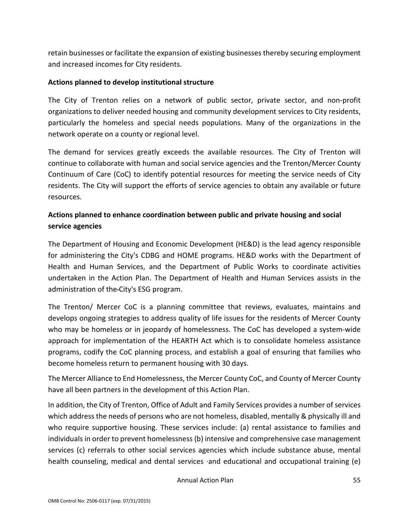retain businesses or facilitate the expansion of existing businesses thereby securing employment and increased incomes for City residents.

### **Actions planned to develop institutional structure**

The City of Trenton relies on a network of public sector, private sector, and non-profit organizations to deliver needed housing and community development services to City residents, particularly the homeless and special needs populations. Many of the organizations in the network operate on a county or regional level.

The demand for services greatly exceeds the available resources. The City of Trenton will continue to collaborate with human and social service agencies and the Trenton/Mercer County Continuum of Care (CoC) to identify potential resources for meeting the service needs of City residents. The City will support the efforts of service agencies to obtain any available or future resources.

## **Actions planned to enhance coordination between public and private housing and social service agencies**

The Department of Housing and Economic Development (HE&D) is the lead agency responsible for administering the City's CDBG and HOME programs. HE&D works with the Department of Health and Human Services, and the Department of Public Works to coordinate activities undertaken in the Action Plan. The Department of Health and Human Services assists in the administration of the City's ESG program.

The Trenton/ Mercer CoC is a planning committee that reviews, evaluates, maintains and develops ongoing strategies to address quality of life issues for the residents of Mercer County who may be homeless or in jeopardy of homelessness. The CoC has developed a system-wide approach for implementation of the HEARTH Act which is to consolidate homeless assistance programs, codify the CoC planning process, and establish a goal of ensuring that families who become homeless return to permanent housing with 30 days.

The Mercer Alliance to End Homelessness, the Mercer County CoC, and County of Mercer County have all been partners in the development of this Action Plan.

In addition, the City of Trenton, Office of Adult and Family Services provides a number of services which address the needs of persons who are not homeless, disabled, mentally & physically ill and who require supportive housing. These services include: (a) rental assistance to families and individuals in order to prevent homelessness (b) intensive and comprehensive case management services (c) referrals to other social services agencies which include substance abuse, mental health counseling, medical and dental services ·and educational and occupational training (e)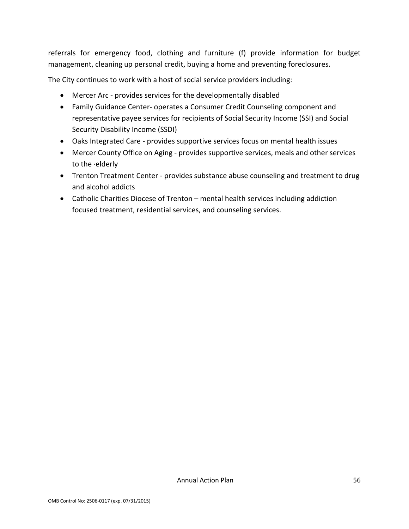referrals for emergency food, clothing and furniture (f) provide information for budget management, cleaning up personal credit, buying a home and preventing foreclosures.

The City continues to work with a host of social service providers including:

- Mercer Arc provides services for the developmentally disabled
- Family Guidance Center- operates a Consumer Credit Counseling component and representative payee services for recipients of Social Security Income (SSI) and Social Security Disability Income (SSDI)
- Oaks Integrated Care provides supportive services focus on mental health issues
- Mercer County Office on Aging provides supportive services, meals and other services to the ·elderly
- Trenton Treatment Center provides substance abuse counseling and treatment to drug and alcohol addicts
- Catholic Charities Diocese of Trenton mental health services including addiction focused treatment, residential services, and counseling services.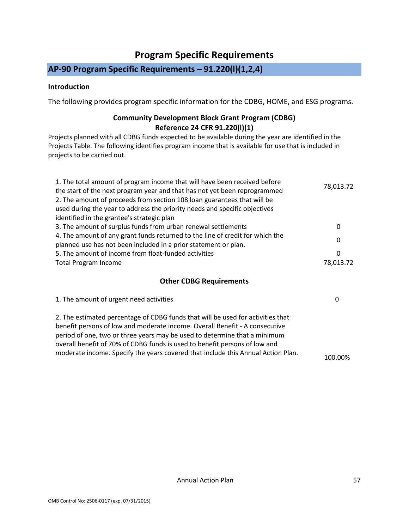# **Program Specific Requirements**

# <span id="page-57-0"></span>**AP-90 Program Specific Requirements – 91.220(l)(1,2,4)**

### **Introduction**

The following provides program specific information for the CDBG, HOME, and ESG programs.

### **Community Development Block Grant Program (CDBG) Reference 24 CFR 91.220(l)(1)**

Projects planned with all CDBG funds expected to be available during the year are identified in the Projects Table. The following identifies program income that is available for use that is included in projects to be carried out.

| 1. The total amount of program income that will have been received before     | 78,013.72 |
|-------------------------------------------------------------------------------|-----------|
| the start of the next program year and that has not yet been reprogrammed     |           |
| 2. The amount of proceeds from section 108 loan guarantees that will be       |           |
| used during the year to address the priority needs and specific objectives    |           |
| identified in the grantee's strategic plan                                    |           |
| 3. The amount of surplus funds from urban renewal settlements                 | 0         |
| 4. The amount of any grant funds returned to the line of credit for which the |           |
| planned use has not been included in a prior statement or plan.               | 0         |
| 5. The amount of income from float-funded activities                          | 0         |
| <b>Total Program Income</b>                                                   | 78,013.72 |
|                                                                               |           |
|                                                                               |           |

### **Other CDBG Requirements**

| 1. The amount of urgent need activities                                                                                                                                                                                                                                                                                                                                                                       |         |
|---------------------------------------------------------------------------------------------------------------------------------------------------------------------------------------------------------------------------------------------------------------------------------------------------------------------------------------------------------------------------------------------------------------|---------|
| 2. The estimated percentage of CDBG funds that will be used for activities that<br>benefit persons of low and moderate income. Overall Benefit - A consecutive<br>period of one, two or three years may be used to determine that a minimum<br>overall benefit of 70% of CDBG funds is used to benefit persons of low and<br>moderate income. Specify the years covered that include this Annual Action Plan. | 100.00% |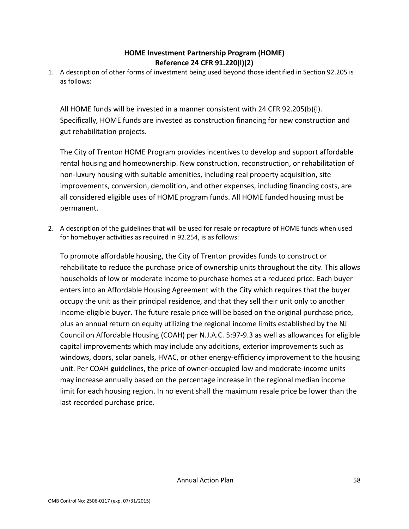### **HOME Investment Partnership Program (HOME) Reference 24 CFR 91.220(l)(2)**

1. A description of other forms of investment being used beyond those identified in Section 92.205 is as follows:

All HOME funds will be invested in a manner consistent with 24 CFR 92.205(b){l). Specifically, HOME funds are invested as construction financing for new construction and gut rehabilitation projects.

The City of Trenton HOME Program provides incentives to develop and support affordable rental housing and homeownership. New construction, reconstruction, or rehabilitation of non-luxury housing with suitable amenities, including real property acquisition, site improvements, conversion, demolition, and other expenses, including financing costs, are all considered eligible uses of HOME program funds. All HOME funded housing must be permanent.

2. A description of the guidelines that will be used for resale or recapture of HOME funds when used for homebuyer activities as required in 92.254, is as follows:

To promote affordable housing, the City of Trenton provides funds to construct or rehabilitate to reduce the purchase price of ownership units throughout the city. This allows households of low or moderate income to purchase homes at a reduced price. Each buyer enters into an Affordable Housing Agreement with the City which requires that the buyer occupy the unit as their principal residence, and that they sell their unit only to another income-eligible buyer. The future resale price will be based on the original purchase price, plus an annual return on equity utilizing the regional income limits established by the NJ Council on Affordable Housing (COAH) per N.J.A.C. 5:97-9.3 as well as allowances for eligible capital improvements which may include any additions, exterior improvements such as windows, doors, solar panels, HVAC, or other energy-efficiency improvement to the housing unit. Per COAH guidelines, the price of owner-occupied low and moderate-income units may increase annually based on the percentage increase in the regional median income limit for each housing region. In no event shall the maximum resale price be lower than the last recorded purchase price.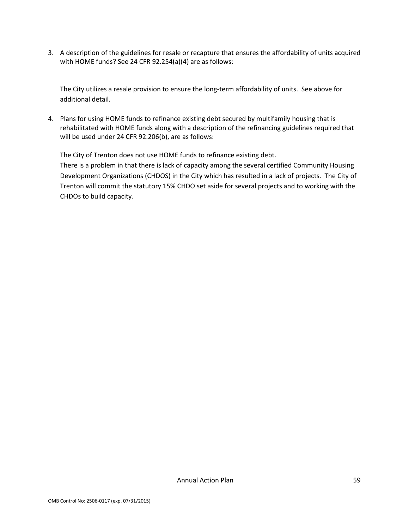3. A description of the guidelines for resale or recapture that ensures the affordability of units acquired with HOME funds? See 24 CFR 92.254(a)(4) are as follows:

The City utilizes a resale provision to ensure the long-term affordability of units. See above for additional detail.

4. Plans for using HOME funds to refinance existing debt secured by multifamily housing that is rehabilitated with HOME funds along with a description of the refinancing guidelines required that will be used under 24 CFR 92.206(b), are as follows:

The City of Trenton does not use HOME funds to refinance existing debt.

There is a problem in that there is lack of capacity among the several certified Community Housing Development Organizations (CHDOS) in the City which has resulted in a lack of projects. The City of Trenton will commit the statutory 15% CHDO set aside for several projects and to working with the CHDOs to build capacity.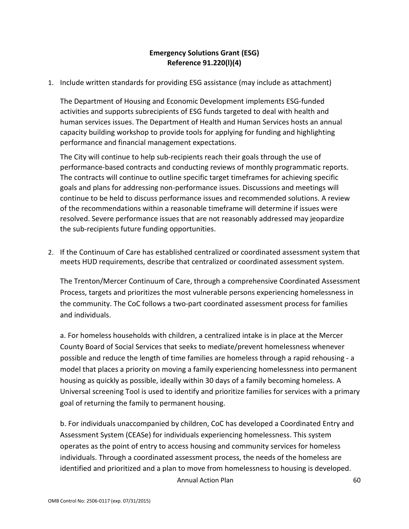### **Emergency Solutions Grant (ESG) Reference 91.220(l)(4)**

1. Include written standards for providing ESG assistance (may include as attachment)

The Department of Housing and Economic Development implements ESG-funded activities and supports subrecipients of ESG funds targeted to deal with health and human services issues. The Department of Health and Human Services hosts an annual capacity building workshop to provide tools for applying for funding and highlighting performance and financial management expectations.

The City will continue to help sub-recipients reach their goals through the use of performance-based contracts and conducting reviews of monthly programmatic reports. The contracts will continue to outline specific target timeframes for achieving specific goals and plans for addressing non-performance issues. Discussions and meetings will continue to be held to discuss performance issues and recommended solutions. A review of the recommendations within a reasonable timeframe will determine if issues were resolved. Severe performance issues that are not reasonably addressed may jeopardize the sub-recipients future funding opportunities.

2. If the Continuum of Care has established centralized or coordinated assessment system that meets HUD requirements, describe that centralized or coordinated assessment system.

The Trenton/Mercer Continuum of Care, through a comprehensive Coordinated Assessment Process, targets and prioritizes the most vulnerable persons experiencing homelessness in the community. The CoC follows a two-part coordinated assessment process for families and individuals.

a. For homeless households with children, a centralized intake is in place at the Mercer County Board of Social Services that seeks to mediate/prevent homelessness whenever possible and reduce the length of time families are homeless through a rapid rehousing - a model that places a priority on moving a family experiencing homelessness into permanent housing as quickly as possible, ideally within 30 days of a family becoming homeless. A Universal screening Tool is used to identify and prioritize families for services with a primary goal of returning the family to permanent housing.

Annual Action Plan 60 b. For individuals unaccompanied by children, CoC has developed a Coordinated Entry and Assessment System (CEASe) for individuals experiencing homelessness. This system operates as the point of entry to access housing and community services for homeless individuals. Through a coordinated assessment process, the needs of the homeless are identified and prioritized and a plan to move from homelessness to housing is developed.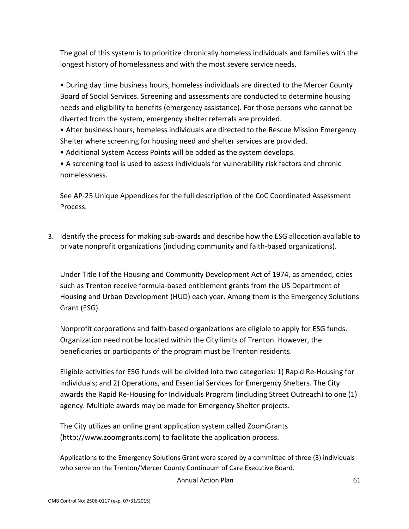The goal of this system is to prioritize chronically homeless individuals and families with the longest history of homelessness and with the most severe service needs.

• During day time business hours, homeless individuals are directed to the Mercer County Board of Social Services. Screening and assessments are conducted to determine housing needs and eligibility to benefits (emergency assistance). For those persons who cannot be diverted from the system, emergency shelter referrals are provided.

• After business hours, homeless individuals are directed to the Rescue Mission Emergency Shelter where screening for housing need and shelter services are provided.

• Additional System Access Points will be added as the system develops.

• A screening tool is used to assess individuals for vulnerability risk factors and chronic homelessness.

See AP-25 Unique Appendices for the full description of the CoC Coordinated Assessment Process.

3. Identify the process for making sub-awards and describe how the ESG allocation available to private nonprofit organizations (including community and faith-based organizations).

Under Title I of the Housing and Community Development Act of 1974, as amended, cities such as Trenton receive formula-based entitlement grants from the US Department of Housing and Urban Development (HUD) each year. Among them is the Emergency Solutions Grant (ESG).

Nonprofit corporations and faith-based organizations are eligible to apply for ESG funds. Organization need not be located within the City limits of Trenton. However, the beneficiaries or participants of the program must be Trenton residents.

Eligible activities for ESG funds will be divided into two categories: 1) Rapid Re-Housing for Individuals; and 2) Operations, and Essential Services for Emergency Shelters. The City awards the Rapid Re-Housing for Individuals Program (including Street Outreach) to one (1) agency. Multiple awards may be made for Emergency Shelter projects.

The City utilizes an online grant application system called ZoomGrants (http://www.zoomgrants.com) to facilitate the application process.

Applications to the Emergency Solutions Grant were scored by a committee of three (3) individuals who serve on the Trenton/Mercer County Continuum of Care Executive Board.